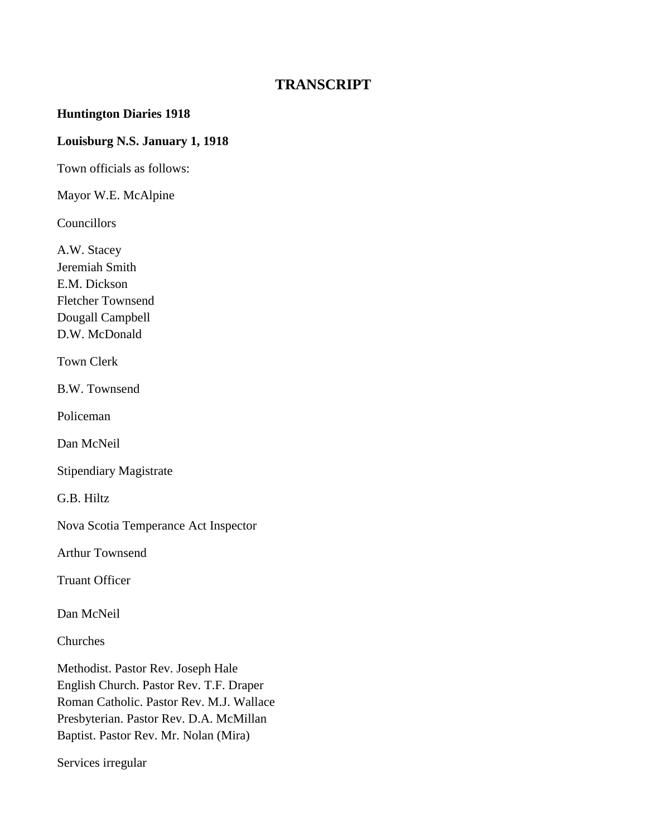# **TRANSCRIPT**

### **Huntington Diaries 1918**

### **Louisburg N.S. January 1, 1918**

Town officials as follows:

Mayor W.E. McAlpine

Councillors

A.W. Stacey Jeremiah Smith E.M. Dickson Fletcher Townsend Dougall Campbell D.W. McDonald

Town Clerk

B.W. Townsend

Policeman

Dan McNeil

Stipendiary Magistrate

G.B. Hiltz

Nova Scotia Temperance Act Inspector

Arthur Townsend

Truant Officer

Dan McNeil

Churches

Methodist. Pastor Rev. Joseph Hale English Church. Pastor Rev. T.F. Draper Roman Catholic. Pastor Rev. M.J. Wallace Presbyterian. Pastor Rev. D.A. McMillan Baptist. Pastor Rev. Mr. Nolan (Mira)

Services irregular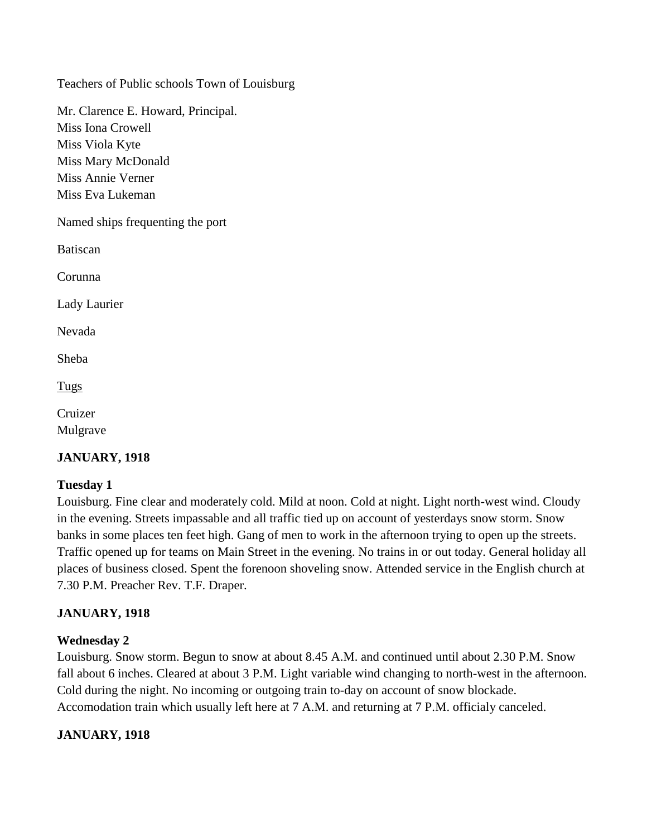Teachers of Public schools Town of Louisburg

Mr. Clarence E. Howard, Principal. Miss Iona Crowell Miss Viola Kyte Miss Mary McDonald Miss Annie Verner Miss Eva Lukeman

Named ships frequenting the port

Batiscan

Corunna

Lady Laurier

Nevada

Sheba

Tugs

Cruizer Mulgrave

# **JANUARY, 1918**

# **Tuesday 1**

Louisburg. Fine clear and moderately cold. Mild at noon. Cold at night. Light north-west wind. Cloudy in the evening. Streets impassable and all traffic tied up on account of yesterdays snow storm. Snow banks in some places ten feet high. Gang of men to work in the afternoon trying to open up the streets. Traffic opened up for teams on Main Street in the evening. No trains in or out today. General holiday all places of business closed. Spent the forenoon shoveling snow. Attended service in the English church at 7.30 P.M. Preacher Rev. T.F. Draper.

# **JANUARY, 1918**

#### **Wednesday 2**

Louisburg. Snow storm. Begun to snow at about 8.45 A.M. and continued until about 2.30 P.M. Snow fall about 6 inches. Cleared at about 3 P.M. Light variable wind changing to north-west in the afternoon. Cold during the night. No incoming or outgoing train to-day on account of snow blockade. Accomodation train which usually left here at 7 A.M. and returning at 7 P.M. officialy canceled.

#### **JANUARY, 1918**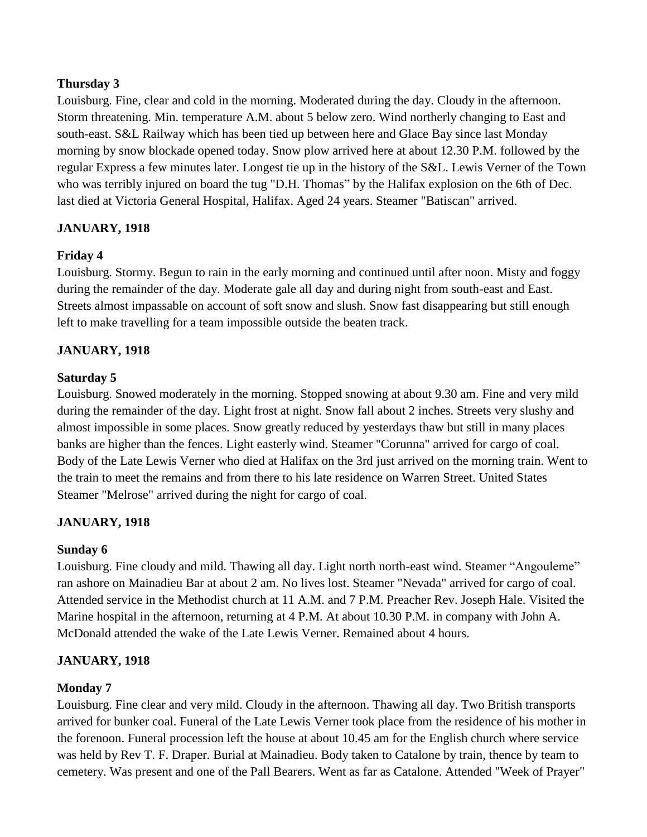Louisburg. Fine, clear and cold in the morning. Moderated during the day. Cloudy in the afternoon. Storm threatening. Min. temperature A.M. about 5 below zero. Wind northerly changing to East and south-east. S&L Railway which has been tied up between here and Glace Bay since last Monday morning by snow blockade opened today. Snow plow arrived here at about 12.30 P.M. followed by the regular Express a few minutes later. Longest tie up in the history of the S&L. Lewis Verner of the Town who was terribly injured on board the tug "D.H. Thomas" by the Halifax explosion on the 6th of Dec. last died at Victoria General Hospital, Halifax. Aged 24 years. Steamer "Batiscan" arrived.

# **JANUARY, 1918**

# **Friday 4**

Louisburg. Stormy. Begun to rain in the early morning and continued until after noon. Misty and foggy during the remainder of the day. Moderate gale all day and during night from south-east and East. Streets almost impassable on account of soft snow and slush. Snow fast disappearing but still enough left to make travelling for a team impossible outside the beaten track.

# **JANUARY, 1918**

#### **Saturday 5**

Louisburg. Snowed moderately in the morning. Stopped snowing at about 9.30 am. Fine and very mild during the remainder of the day. Light frost at night. Snow fall about 2 inches. Streets very slushy and almost impossible in some places. Snow greatly reduced by yesterdays thaw but still in many places banks are higher than the fences. Light easterly wind. Steamer "Corunna" arrived for cargo of coal. Body of the Late Lewis Verner who died at Halifax on the 3rd just arrived on the morning train. Went to the train to meet the remains and from there to his late residence on Warren Street. United States Steamer "Melrose" arrived during the night for cargo of coal.

# **JANUARY, 1918**

#### **Sunday 6**

Louisburg. Fine cloudy and mild. Thawing all day. Light north north-east wind. Steamer "Angouleme" ran ashore on Mainadieu Bar at about 2 am. No lives lost. Steamer "Nevada" arrived for cargo of coal. Attended service in the Methodist church at 11 A.M. and 7 P.M. Preacher Rev. Joseph Hale. Visited the Marine hospital in the afternoon, returning at 4 P.M. At about 10.30 P.M. in company with John A. McDonald attended the wake of the Late Lewis Verner. Remained about 4 hours.

#### **JANUARY, 1918**

#### **Monday 7**

Louisburg. Fine clear and very mild. Cloudy in the afternoon. Thawing all day. Two British transports arrived for bunker coal. Funeral of the Late Lewis Verner took place from the residence of his mother in the forenoon. Funeral procession left the house at about 10.45 am for the English church where service was held by Rev T. F. Draper. Burial at Mainadieu. Body taken to Catalone by train, thence by team to cemetery. Was present and one of the Pall Bearers. Went as far as Catalone. Attended "Week of Prayer"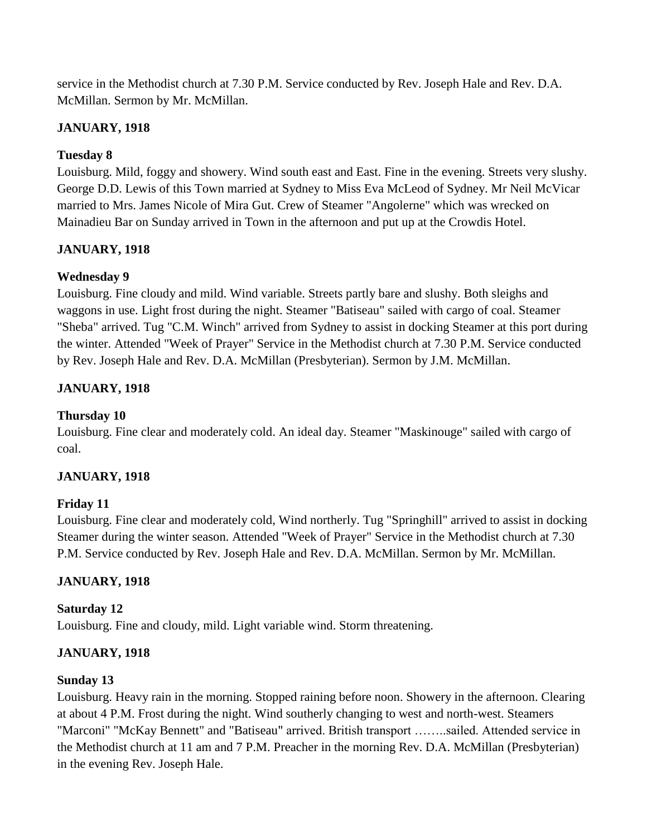service in the Methodist church at 7.30 P.M. Service conducted by Rev. Joseph Hale and Rev. D.A. McMillan. Sermon by Mr. McMillan.

# **JANUARY, 1918**

# **Tuesday 8**

Louisburg. Mild, foggy and showery. Wind south east and East. Fine in the evening. Streets very slushy. George D.D. Lewis of this Town married at Sydney to Miss Eva McLeod of Sydney. Mr Neil McVicar married to Mrs. James Nicole of Mira Gut. Crew of Steamer "Angolerne" which was wrecked on Mainadieu Bar on Sunday arrived in Town in the afternoon and put up at the Crowdis Hotel.

# **JANUARY, 1918**

# **Wednesday 9**

Louisburg. Fine cloudy and mild. Wind variable. Streets partly bare and slushy. Both sleighs and waggons in use. Light frost during the night. Steamer "Batiseau" sailed with cargo of coal. Steamer "Sheba" arrived. Tug "C.M. Winch" arrived from Sydney to assist in docking Steamer at this port during the winter. Attended "Week of Prayer" Service in the Methodist church at 7.30 P.M. Service conducted by Rev. Joseph Hale and Rev. D.A. McMillan (Presbyterian). Sermon by J.M. McMillan.

# **JANUARY, 1918**

# **Thursday 10**

Louisburg. Fine clear and moderately cold. An ideal day. Steamer "Maskinouge" sailed with cargo of coal.

# **JANUARY, 1918**

# **Friday 11**

Louisburg. Fine clear and moderately cold, Wind northerly. Tug "Springhill" arrived to assist in docking Steamer during the winter season. Attended "Week of Prayer" Service in the Methodist church at 7.30 P.M. Service conducted by Rev. Joseph Hale and Rev. D.A. McMillan. Sermon by Mr. McMillan.

# **JANUARY, 1918**

# **Saturday 12**

Louisburg. Fine and cloudy, mild. Light variable wind. Storm threatening.

# **JANUARY, 1918**

# **Sunday 13**

Louisburg. Heavy rain in the morning. Stopped raining before noon. Showery in the afternoon. Clearing at about 4 P.M. Frost during the night. Wind southerly changing to west and north-west. Steamers "Marconi" "McKay Bennett" and "Batiseau" arrived. British transport ……..sailed. Attended service in the Methodist church at 11 am and 7 P.M. Preacher in the morning Rev. D.A. McMillan (Presbyterian) in the evening Rev. Joseph Hale.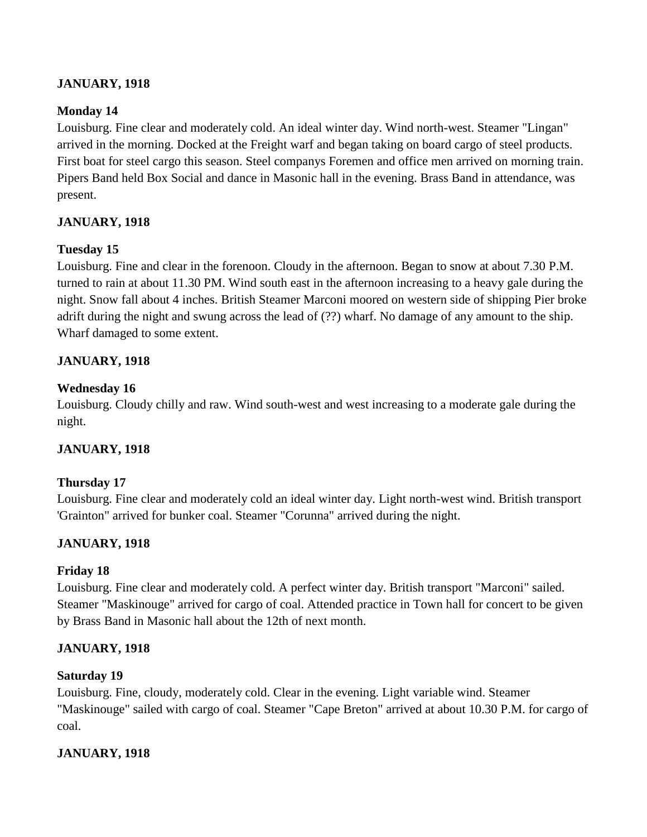# **JANUARY, 1918**

# **Monday 14**

Louisburg. Fine clear and moderately cold. An ideal winter day. Wind north-west. Steamer "Lingan" arrived in the morning. Docked at the Freight warf and began taking on board cargo of steel products. First boat for steel cargo this season. Steel companys Foremen and office men arrived on morning train. Pipers Band held Box Social and dance in Masonic hall in the evening. Brass Band in attendance, was present.

# **JANUARY, 1918**

# **Tuesday 15**

Louisburg. Fine and clear in the forenoon. Cloudy in the afternoon. Began to snow at about 7.30 P.M. turned to rain at about 11.30 PM. Wind south east in the afternoon increasing to a heavy gale during the night. Snow fall about 4 inches. British Steamer Marconi moored on western side of shipping Pier broke adrift during the night and swung across the lead of (??) wharf. No damage of any amount to the ship. Wharf damaged to some extent.

# **JANUARY, 1918**

# **Wednesday 16**

Louisburg. Cloudy chilly and raw. Wind south-west and west increasing to a moderate gale during the night.

# **JANUARY, 1918**

# **Thursday 17**

Louisburg. Fine clear and moderately cold an ideal winter day. Light north-west wind. British transport 'Grainton" arrived for bunker coal. Steamer "Corunna" arrived during the night.

# **JANUARY, 1918**

# **Friday 18**

Louisburg. Fine clear and moderately cold. A perfect winter day. British transport "Marconi" sailed. Steamer "Maskinouge" arrived for cargo of coal. Attended practice in Town hall for concert to be given by Brass Band in Masonic hall about the 12th of next month.

# **JANUARY, 1918**

# **Saturday 19**

Louisburg. Fine, cloudy, moderately cold. Clear in the evening. Light variable wind. Steamer "Maskinouge" sailed with cargo of coal. Steamer "Cape Breton" arrived at about 10.30 P.M. for cargo of coal.

# **JANUARY, 1918**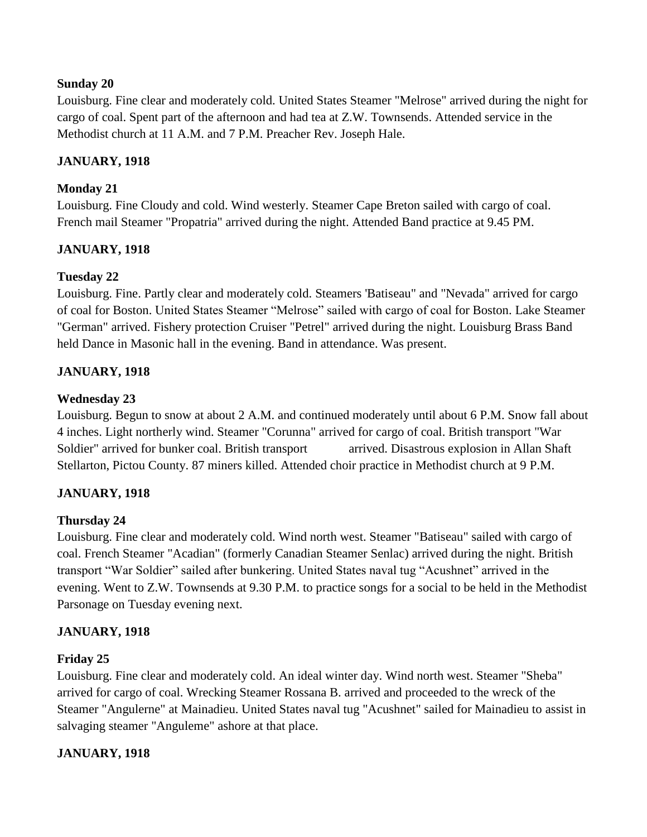### **Sunday 20**

Louisburg. Fine clear and moderately cold. United States Steamer "Melrose" arrived during the night for cargo of coal. Spent part of the afternoon and had tea at Z.W. Townsends. Attended service in the Methodist church at 11 A.M. and 7 P.M. Preacher Rev. Joseph Hale.

### **JANUARY, 1918**

### **Monday 21**

Louisburg. Fine Cloudy and cold. Wind westerly. Steamer Cape Breton sailed with cargo of coal. French mail Steamer "Propatria" arrived during the night. Attended Band practice at 9.45 PM.

# **JANUARY, 1918**

# **Tuesday 22**

Louisburg. Fine. Partly clear and moderately cold. Steamers 'Batiseau" and "Nevada" arrived for cargo of coal for Boston. United States Steamer "Melrose" sailed with cargo of coal for Boston. Lake Steamer "German" arrived. Fishery protection Cruiser "Petrel" arrived during the night. Louisburg Brass Band held Dance in Masonic hall in the evening. Band in attendance. Was present.

### **JANUARY, 1918**

### **Wednesday 23**

Louisburg. Begun to snow at about 2 A.M. and continued moderately until about 6 P.M. Snow fall about 4 inches. Light northerly wind. Steamer "Corunna" arrived for cargo of coal. British transport "War Soldier" arrived for bunker coal. British transport arrived. Disastrous explosion in Allan Shaft Stellarton, Pictou County. 87 miners killed. Attended choir practice in Methodist church at 9 P.M.

# **JANUARY, 1918**

#### **Thursday 24**

Louisburg. Fine clear and moderately cold. Wind north west. Steamer "Batiseau" sailed with cargo of coal. French Steamer "Acadian" (formerly Canadian Steamer Senlac) arrived during the night. British transport "War Soldier" sailed after bunkering. United States naval tug "Acushnet" arrived in the evening. Went to Z.W. Townsends at 9.30 P.M. to practice songs for a social to be held in the Methodist Parsonage on Tuesday evening next.

#### **JANUARY, 1918**

#### **Friday 25**

Louisburg. Fine clear and moderately cold. An ideal winter day. Wind north west. Steamer "Sheba" arrived for cargo of coal. Wrecking Steamer Rossana B. arrived and proceeded to the wreck of the Steamer "Angulerne" at Mainadieu. United States naval tug "Acushnet" sailed for Mainadieu to assist in salvaging steamer "Anguleme" ashore at that place.

#### **JANUARY, 1918**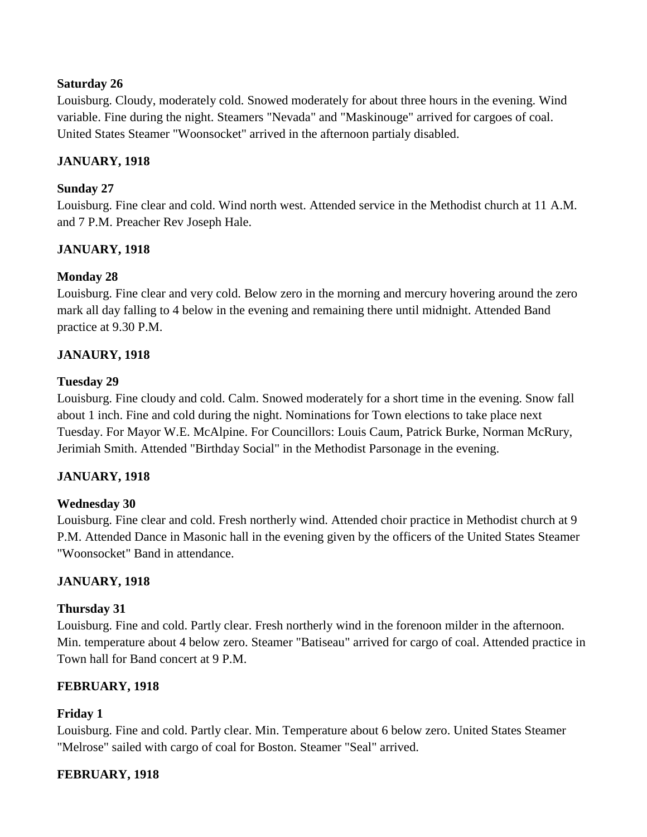### **Saturday 26**

Louisburg. Cloudy, moderately cold. Snowed moderately for about three hours in the evening. Wind variable. Fine during the night. Steamers "Nevada" and "Maskinouge" arrived for cargoes of coal. United States Steamer "Woonsocket" arrived in the afternoon partialy disabled.

# **JANUARY, 1918**

### **Sunday 27**

Louisburg. Fine clear and cold. Wind north west. Attended service in the Methodist church at 11 A.M. and 7 P.M. Preacher Rev Joseph Hale.

# **JANUARY, 1918**

# **Monday 28**

Louisburg. Fine clear and very cold. Below zero in the morning and mercury hovering around the zero mark all day falling to 4 below in the evening and remaining there until midnight. Attended Band practice at 9.30 P.M.

### **JANAURY, 1918**

### **Tuesday 29**

Louisburg. Fine cloudy and cold. Calm. Snowed moderately for a short time in the evening. Snow fall about 1 inch. Fine and cold during the night. Nominations for Town elections to take place next Tuesday. For Mayor W.E. McAlpine. For Councillors: Louis Caum, Patrick Burke, Norman McRury, Jerimiah Smith. Attended "Birthday Social" in the Methodist Parsonage in the evening.

#### **JANUARY, 1918**

# **Wednesday 30**

Louisburg. Fine clear and cold. Fresh northerly wind. Attended choir practice in Methodist church at 9 P.M. Attended Dance in Masonic hall in the evening given by the officers of the United States Steamer "Woonsocket" Band in attendance.

#### **JANUARY, 1918**

#### **Thursday 31**

Louisburg. Fine and cold. Partly clear. Fresh northerly wind in the forenoon milder in the afternoon. Min. temperature about 4 below zero. Steamer "Batiseau" arrived for cargo of coal. Attended practice in Town hall for Band concert at 9 P.M.

# **FEBRUARY, 1918**

# **Friday 1**

Louisburg. Fine and cold. Partly clear. Min. Temperature about 6 below zero. United States Steamer "Melrose" sailed with cargo of coal for Boston. Steamer "Seal" arrived.

#### **FEBRUARY, 1918**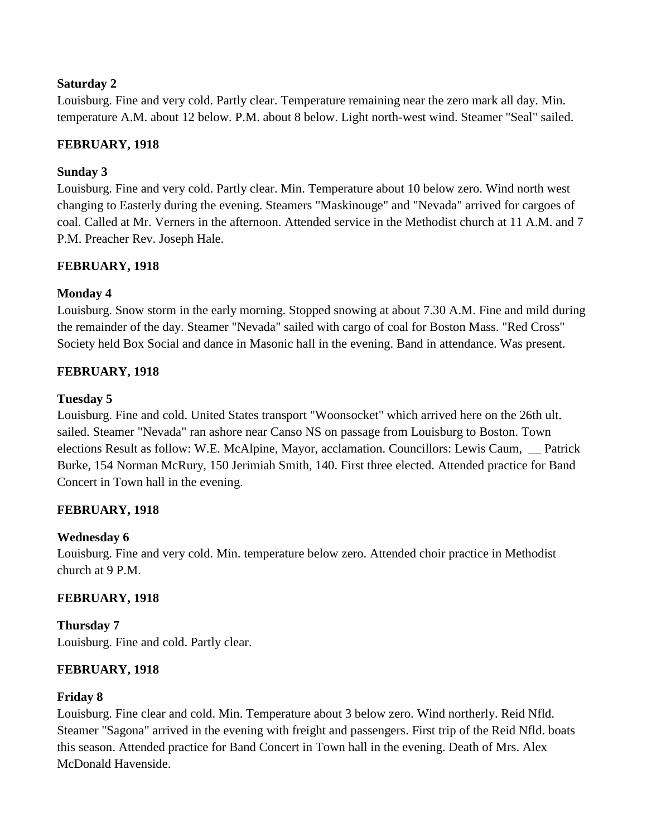# **Saturday 2**

Louisburg. Fine and very cold. Partly clear. Temperature remaining near the zero mark all day. Min. temperature A.M. about 12 below. P.M. about 8 below. Light north-west wind. Steamer "Seal" sailed.

# **FEBRUARY, 1918**

# **Sunday 3**

Louisburg. Fine and very cold. Partly clear. Min. Temperature about 10 below zero. Wind north west changing to Easterly during the evening. Steamers "Maskinouge" and "Nevada" arrived for cargoes of coal. Called at Mr. Verners in the afternoon. Attended service in the Methodist church at 11 A.M. and 7 P.M. Preacher Rev. Joseph Hale.

# **FEBRUARY, 1918**

# **Monday 4**

Louisburg. Snow storm in the early morning. Stopped snowing at about 7.30 A.M. Fine and mild during the remainder of the day. Steamer "Nevada" sailed with cargo of coal for Boston Mass. "Red Cross" Society held Box Social and dance in Masonic hall in the evening. Band in attendance. Was present.

# **FEBRUARY, 1918**

### **Tuesday 5**

Louisburg. Fine and cold. United States transport "Woonsocket" which arrived here on the 26th ult. sailed. Steamer "Nevada" ran ashore near Canso NS on passage from Louisburg to Boston. Town elections Result as follow: W.E. McAlpine, Mayor, acclamation. Councillors: Lewis Caum, \_\_ Patrick Burke, 154 Norman McRury, 150 Jerimiah Smith, 140. First three elected. Attended practice for Band Concert in Town hall in the evening.

# **FEBRUARY, 1918**

# **Wednesday 6**

Louisburg. Fine and very cold. Min. temperature below zero. Attended choir practice in Methodist church at 9 P.M.

# **FEBRUARY, 1918**

**Thursday 7** Louisburg. Fine and cold. Partly clear.

# **FEBRUARY, 1918**

# **Friday 8**

Louisburg. Fine clear and cold. Min. Temperature about 3 below zero. Wind northerly. Reid Nfld. Steamer "Sagona" arrived in the evening with freight and passengers. First trip of the Reid Nfld. boats this season. Attended practice for Band Concert in Town hall in the evening. Death of Mrs. Alex McDonald Havenside.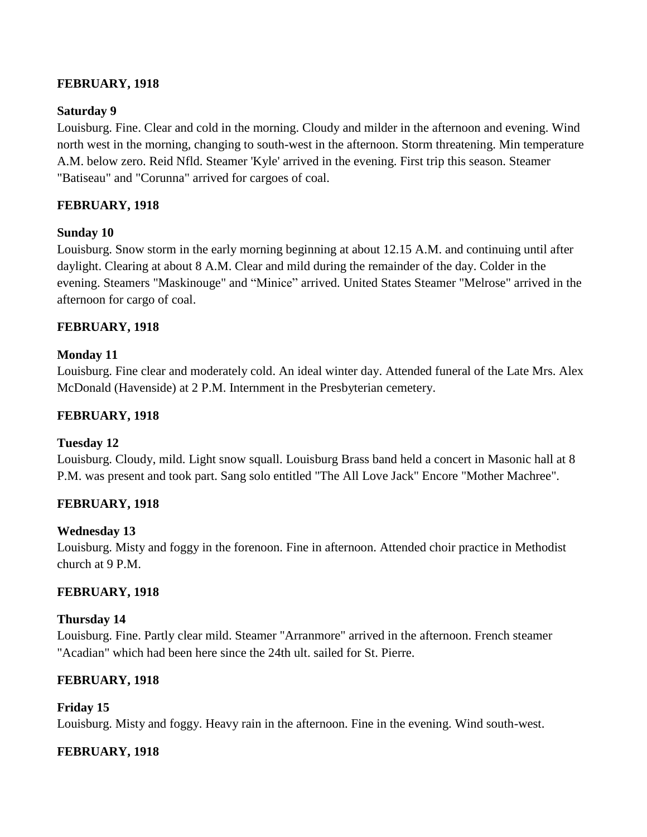# **FEBRUARY, 1918**

# **Saturday 9**

Louisburg. Fine. Clear and cold in the morning. Cloudy and milder in the afternoon and evening. Wind north west in the morning, changing to south-west in the afternoon. Storm threatening. Min temperature A.M. below zero. Reid Nfld. Steamer 'Kyle' arrived in the evening. First trip this season. Steamer "Batiseau" and "Corunna" arrived for cargoes of coal.

# **FEBRUARY, 1918**

# **Sunday 10**

Louisburg. Snow storm in the early morning beginning at about 12.15 A.M. and continuing until after daylight. Clearing at about 8 A.M. Clear and mild during the remainder of the day. Colder in the evening. Steamers "Maskinouge" and "Minice" arrived. United States Steamer "Melrose" arrived in the afternoon for cargo of coal.

# **FEBRUARY, 1918**

# **Monday 11**

Louisburg. Fine clear and moderately cold. An ideal winter day. Attended funeral of the Late Mrs. Alex McDonald (Havenside) at 2 P.M. Internment in the Presbyterian cemetery.

# **FEBRUARY, 1918**

# **Tuesday 12**

Louisburg. Cloudy, mild. Light snow squall. Louisburg Brass band held a concert in Masonic hall at 8 P.M. was present and took part. Sang solo entitled "The All Love Jack" Encore "Mother Machree".

# **FEBRUARY, 1918**

# **Wednesday 13**

Louisburg. Misty and foggy in the forenoon. Fine in afternoon. Attended choir practice in Methodist church at 9 P.M.

# **FEBRUARY, 1918**

# **Thursday 14**

Louisburg. Fine. Partly clear mild. Steamer "Arranmore" arrived in the afternoon. French steamer "Acadian" which had been here since the 24th ult. sailed for St. Pierre.

# **FEBRUARY, 1918**

# **Friday 15**

Louisburg. Misty and foggy. Heavy rain in the afternoon. Fine in the evening. Wind south-west.

# **FEBRUARY, 1918**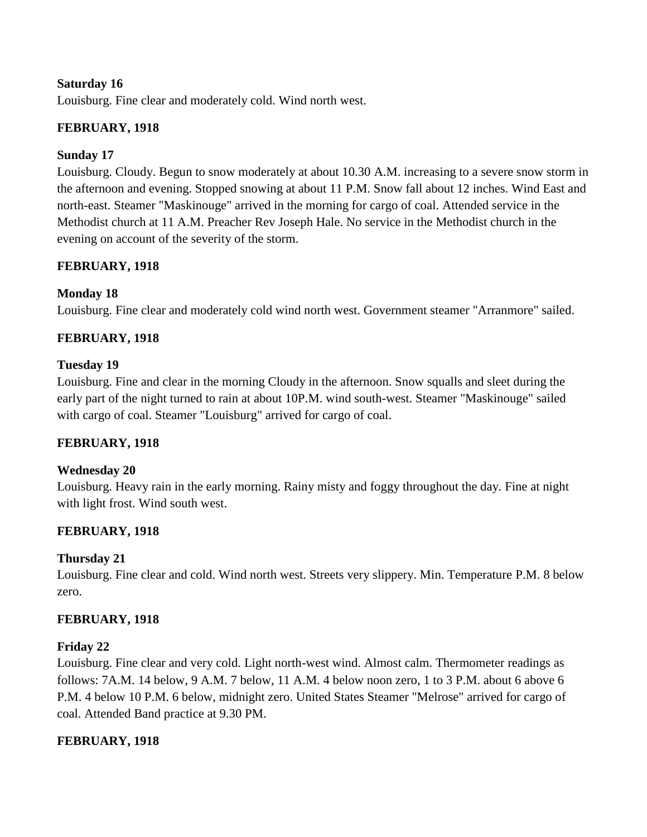### **Saturday 16**

Louisburg. Fine clear and moderately cold. Wind north west.

### **FEBRUARY, 1918**

### **Sunday 17**

Louisburg. Cloudy. Begun to snow moderately at about 10.30 A.M. increasing to a severe snow storm in the afternoon and evening. Stopped snowing at about 11 P.M. Snow fall about 12 inches. Wind East and north-east. Steamer "Maskinouge" arrived in the morning for cargo of coal. Attended service in the Methodist church at 11 A.M. Preacher Rev Joseph Hale. No service in the Methodist church in the evening on account of the severity of the storm.

### **FEBRUARY, 1918**

### **Monday 18**

Louisburg. Fine clear and moderately cold wind north west. Government steamer "Arranmore" sailed.

### **FEBRUARY, 1918**

#### **Tuesday 19**

Louisburg. Fine and clear in the morning Cloudy in the afternoon. Snow squalls and sleet during the early part of the night turned to rain at about 10P.M. wind south-west. Steamer "Maskinouge" sailed with cargo of coal. Steamer "Louisburg" arrived for cargo of coal.

#### **FEBRUARY, 1918**

#### **Wednesday 20**

Louisburg. Heavy rain in the early morning. Rainy misty and foggy throughout the day. Fine at night with light frost. Wind south west.

#### **FEBRUARY, 1918**

#### **Thursday 21**

Louisburg. Fine clear and cold. Wind north west. Streets very slippery. Min. Temperature P.M. 8 below zero.

#### **FEBRUARY, 1918**

#### **Friday 22**

Louisburg. Fine clear and very cold. Light north-west wind. Almost calm. Thermometer readings as follows: 7A.M. 14 below, 9 A.M. 7 below, 11 A.M. 4 below noon zero, 1 to 3 P.M. about 6 above 6 P.M. 4 below 10 P.M. 6 below, midnight zero. United States Steamer "Melrose" arrived for cargo of coal. Attended Band practice at 9.30 PM.

#### **FEBRUARY, 1918**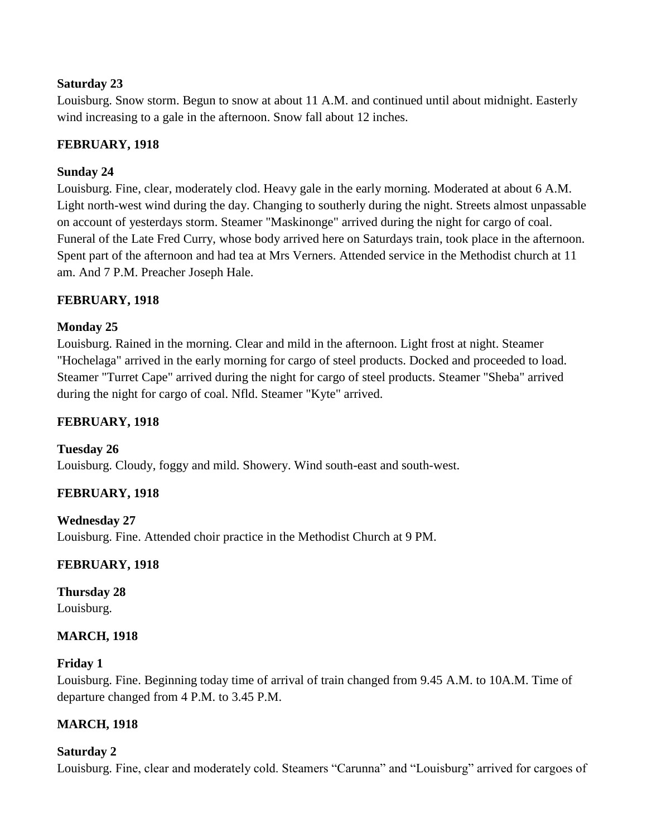### **Saturday 23**

Louisburg. Snow storm. Begun to snow at about 11 A.M. and continued until about midnight. Easterly wind increasing to a gale in the afternoon. Snow fall about 12 inches.

# **FEBRUARY, 1918**

# **Sunday 24**

Louisburg. Fine, clear, moderately clod. Heavy gale in the early morning. Moderated at about 6 A.M. Light north-west wind during the day. Changing to southerly during the night. Streets almost unpassable on account of yesterdays storm. Steamer "Maskinonge" arrived during the night for cargo of coal. Funeral of the Late Fred Curry, whose body arrived here on Saturdays train, took place in the afternoon. Spent part of the afternoon and had tea at Mrs Verners. Attended service in the Methodist church at 11 am. And 7 P.M. Preacher Joseph Hale.

# **FEBRUARY, 1918**

### **Monday 25**

Louisburg. Rained in the morning. Clear and mild in the afternoon. Light frost at night. Steamer "Hochelaga" arrived in the early morning for cargo of steel products. Docked and proceeded to load. Steamer "Turret Cape" arrived during the night for cargo of steel products. Steamer "Sheba" arrived during the night for cargo of coal. Nfld. Steamer "Kyte" arrived.

# **FEBRUARY, 1918**

**Tuesday 26** Louisburg. Cloudy, foggy and mild. Showery. Wind south-east and south-west.

# **FEBRUARY, 1918**

**Wednesday 27** Louisburg. Fine. Attended choir practice in the Methodist Church at 9 PM.

# **FEBRUARY, 1918**

**Thursday 28** Louisburg.

#### **MARCH, 1918**

#### **Friday 1**

Louisburg. Fine. Beginning today time of arrival of train changed from 9.45 A.M. to 10A.M. Time of departure changed from 4 P.M. to 3.45 P.M.

# **MARCH, 1918**

#### **Saturday 2**

Louisburg. Fine, clear and moderately cold. Steamers "Carunna" and "Louisburg" arrived for cargoes of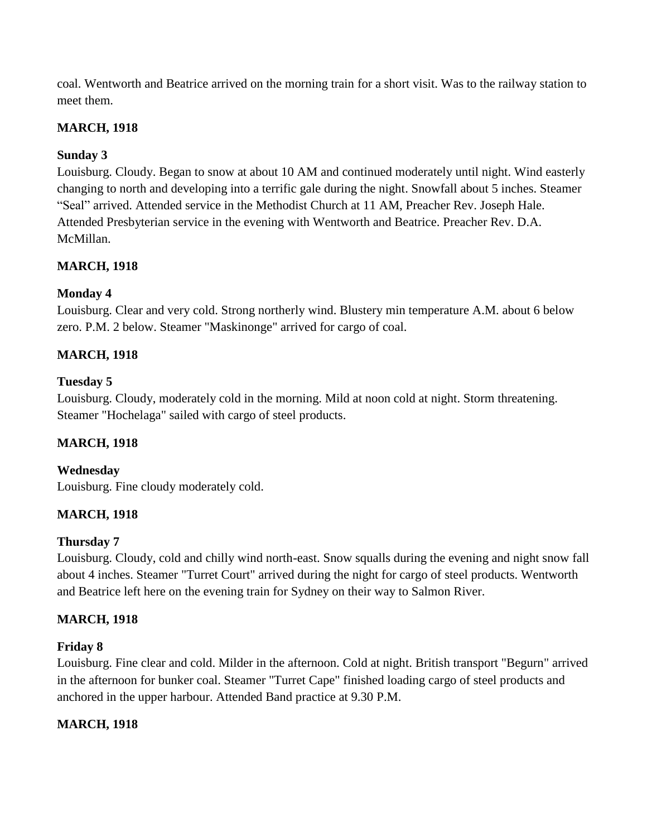coal. Wentworth and Beatrice arrived on the morning train for a short visit. Was to the railway station to meet them.

# **MARCH, 1918**

# **Sunday 3**

Louisburg. Cloudy. Began to snow at about 10 AM and continued moderately until night. Wind easterly changing to north and developing into a terrific gale during the night. Snowfall about 5 inches. Steamer "Seal" arrived. Attended service in the Methodist Church at 11 AM, Preacher Rev. Joseph Hale. Attended Presbyterian service in the evening with Wentworth and Beatrice. Preacher Rev. D.A. McMillan.

# **MARCH, 1918**

# **Monday 4**

Louisburg. Clear and very cold. Strong northerly wind. Blustery min temperature A.M. about 6 below zero. P.M. 2 below. Steamer "Maskinonge" arrived for cargo of coal.

# **MARCH, 1918**

# **Tuesday 5**

Louisburg. Cloudy, moderately cold in the morning. Mild at noon cold at night. Storm threatening. Steamer "Hochelaga" sailed with cargo of steel products.

# **MARCH, 1918**

# **Wednesday**

Louisburg. Fine cloudy moderately cold.

# **MARCH, 1918**

# **Thursday 7**

Louisburg. Cloudy, cold and chilly wind north-east. Snow squalls during the evening and night snow fall about 4 inches. Steamer "Turret Court" arrived during the night for cargo of steel products. Wentworth and Beatrice left here on the evening train for Sydney on their way to Salmon River.

# **MARCH, 1918**

# **Friday 8**

Louisburg. Fine clear and cold. Milder in the afternoon. Cold at night. British transport "Begurn" arrived in the afternoon for bunker coal. Steamer "Turret Cape" finished loading cargo of steel products and anchored in the upper harbour. Attended Band practice at 9.30 P.M.

# **MARCH, 1918**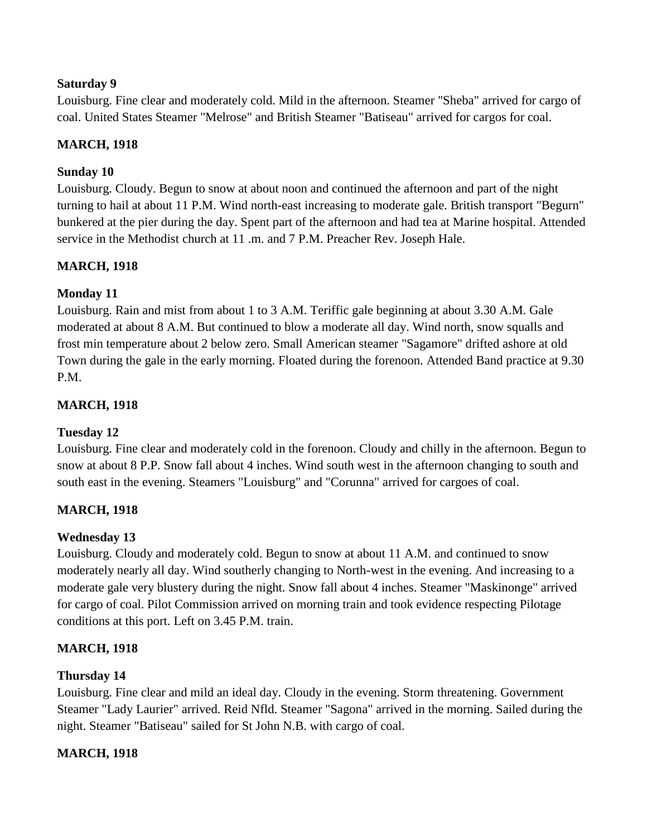# **Saturday 9**

Louisburg. Fine clear and moderately cold. Mild in the afternoon. Steamer "Sheba" arrived for cargo of coal. United States Steamer "Melrose" and British Steamer "Batiseau" arrived for cargos for coal.

# **MARCH, 1918**

# **Sunday 10**

Louisburg. Cloudy. Begun to snow at about noon and continued the afternoon and part of the night turning to hail at about 11 P.M. Wind north-east increasing to moderate gale. British transport "Begurn" bunkered at the pier during the day. Spent part of the afternoon and had tea at Marine hospital. Attended service in the Methodist church at 11 .m. and 7 P.M. Preacher Rev. Joseph Hale.

# **MARCH, 1918**

# **Monday 11**

Louisburg. Rain and mist from about 1 to 3 A.M. Teriffic gale beginning at about 3.30 A.M. Gale moderated at about 8 A.M. But continued to blow a moderate all day. Wind north, snow squalls and frost min temperature about 2 below zero. Small American steamer "Sagamore" drifted ashore at old Town during the gale in the early morning. Floated during the forenoon. Attended Band practice at 9.30 P.M.

# **MARCH, 1918**

# **Tuesday 12**

Louisburg. Fine clear and moderately cold in the forenoon. Cloudy and chilly in the afternoon. Begun to snow at about 8 P.P. Snow fall about 4 inches. Wind south west in the afternoon changing to south and south east in the evening. Steamers "Louisburg" and "Corunna" arrived for cargoes of coal.

# **MARCH, 1918**

# **Wednesday 13**

Louisburg. Cloudy and moderately cold. Begun to snow at about 11 A.M. and continued to snow moderately nearly all day. Wind southerly changing to North-west in the evening. And increasing to a moderate gale very blustery during the night. Snow fall about 4 inches. Steamer "Maskinonge" arrived for cargo of coal. Pilot Commission arrived on morning train and took evidence respecting Pilotage conditions at this port. Left on 3.45 P.M. train.

# **MARCH, 1918**

# **Thursday 14**

Louisburg. Fine clear and mild an ideal day. Cloudy in the evening. Storm threatening. Government Steamer "Lady Laurier" arrived. Reid Nfld. Steamer "Sagona" arrived in the morning. Sailed during the night. Steamer "Batiseau" sailed for St John N.B. with cargo of coal.

# **MARCH, 1918**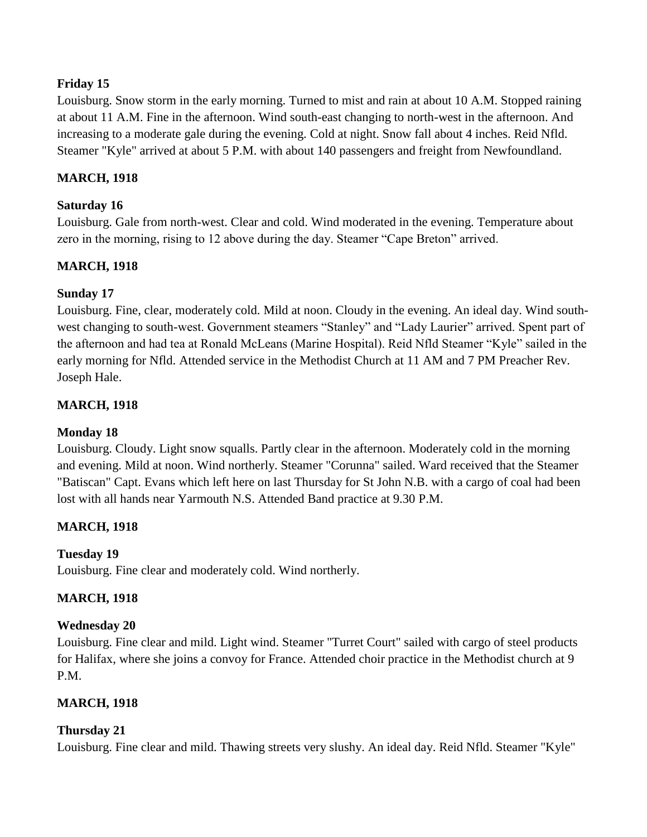# **Friday 15**

Louisburg. Snow storm in the early morning. Turned to mist and rain at about 10 A.M. Stopped raining at about 11 A.M. Fine in the afternoon. Wind south-east changing to north-west in the afternoon. And increasing to a moderate gale during the evening. Cold at night. Snow fall about 4 inches. Reid Nfld. Steamer "Kyle" arrived at about 5 P.M. with about 140 passengers and freight from Newfoundland.

# **MARCH, 1918**

# **Saturday 16**

Louisburg. Gale from north-west. Clear and cold. Wind moderated in the evening. Temperature about zero in the morning, rising to 12 above during the day. Steamer "Cape Breton" arrived.

# **MARCH, 1918**

# **Sunday 17**

Louisburg. Fine, clear, moderately cold. Mild at noon. Cloudy in the evening. An ideal day. Wind southwest changing to south-west. Government steamers "Stanley" and "Lady Laurier" arrived. Spent part of the afternoon and had tea at Ronald McLeans (Marine Hospital). Reid Nfld Steamer "Kyle" sailed in the early morning for Nfld. Attended service in the Methodist Church at 11 AM and 7 PM Preacher Rev. Joseph Hale.

# **MARCH, 1918**

# **Monday 18**

Louisburg. Cloudy. Light snow squalls. Partly clear in the afternoon. Moderately cold in the morning and evening. Mild at noon. Wind northerly. Steamer "Corunna" sailed. Ward received that the Steamer "Batiscan" Capt. Evans which left here on last Thursday for St John N.B. with a cargo of coal had been lost with all hands near Yarmouth N.S. Attended Band practice at 9.30 P.M.

# **MARCH, 1918**

# **Tuesday 19**

Louisburg. Fine clear and moderately cold. Wind northerly.

# **MARCH, 1918**

# **Wednesday 20**

Louisburg. Fine clear and mild. Light wind. Steamer "Turret Court" sailed with cargo of steel products for Halifax, where she joins a convoy for France. Attended choir practice in the Methodist church at 9 P.M.

# **MARCH, 1918**

# **Thursday 21**

Louisburg. Fine clear and mild. Thawing streets very slushy. An ideal day. Reid Nfld. Steamer "Kyle"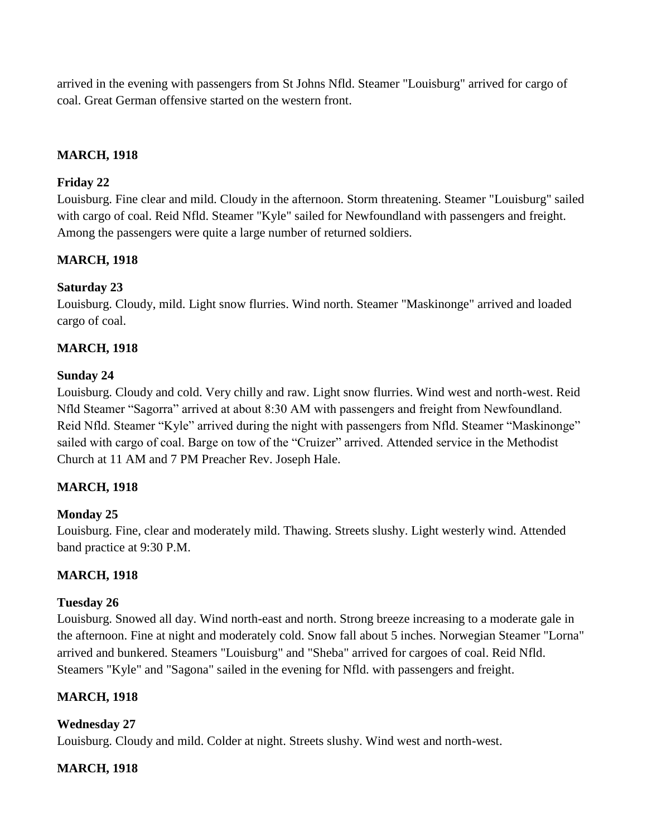arrived in the evening with passengers from St Johns Nfld. Steamer "Louisburg" arrived for cargo of coal. Great German offensive started on the western front.

# **MARCH, 1918**

# **Friday 22**

Louisburg. Fine clear and mild. Cloudy in the afternoon. Storm threatening. Steamer "Louisburg" sailed with cargo of coal. Reid Nfld. Steamer "Kyle" sailed for Newfoundland with passengers and freight. Among the passengers were quite a large number of returned soldiers.

# **MARCH, 1918**

# **Saturday 23**

Louisburg. Cloudy, mild. Light snow flurries. Wind north. Steamer "Maskinonge" arrived and loaded cargo of coal.

# **MARCH, 1918**

# **Sunday 24**

Louisburg. Cloudy and cold. Very chilly and raw. Light snow flurries. Wind west and north-west. Reid Nfld Steamer "Sagorra" arrived at about 8:30 AM with passengers and freight from Newfoundland. Reid Nfld. Steamer "Kyle" arrived during the night with passengers from Nfld. Steamer "Maskinonge" sailed with cargo of coal. Barge on tow of the "Cruizer" arrived. Attended service in the Methodist Church at 11 AM and 7 PM Preacher Rev. Joseph Hale.

# **MARCH, 1918**

# **Monday 25**

Louisburg. Fine, clear and moderately mild. Thawing. Streets slushy. Light westerly wind. Attended band practice at 9:30 P.M.

# **MARCH, 1918**

#### **Tuesday 26**

Louisburg. Snowed all day. Wind north-east and north. Strong breeze increasing to a moderate gale in the afternoon. Fine at night and moderately cold. Snow fall about 5 inches. Norwegian Steamer "Lorna" arrived and bunkered. Steamers "Louisburg" and "Sheba" arrived for cargoes of coal. Reid Nfld. Steamers "Kyle" and "Sagona" sailed in the evening for Nfld. with passengers and freight.

# **MARCH, 1918**

# **Wednesday 27**

Louisburg. Cloudy and mild. Colder at night. Streets slushy. Wind west and north-west.

# **MARCH, 1918**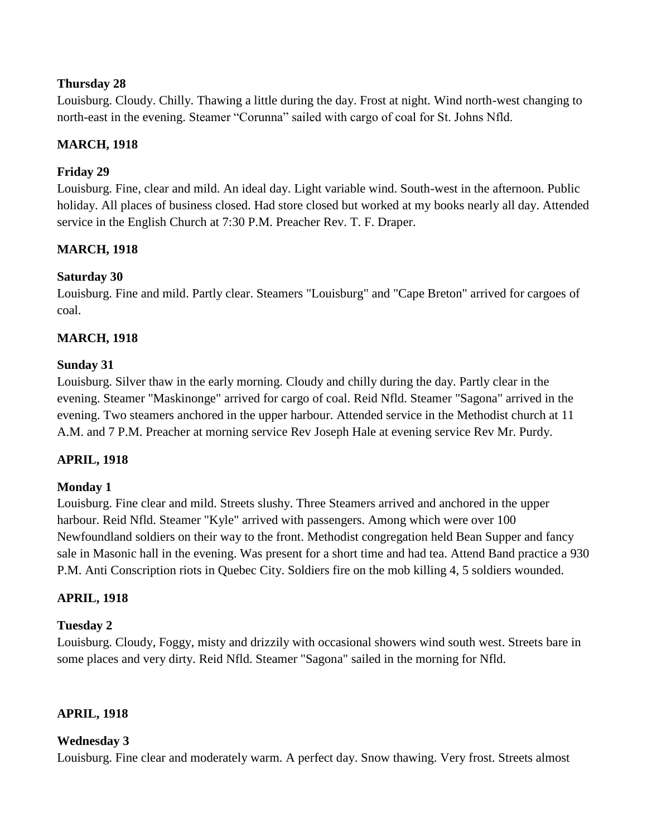Louisburg. Cloudy. Chilly. Thawing a little during the day. Frost at night. Wind north-west changing to north-east in the evening. Steamer "Corunna" sailed with cargo of coal for St. Johns Nfld.

# **MARCH, 1918**

# **Friday 29**

Louisburg. Fine, clear and mild. An ideal day. Light variable wind. South-west in the afternoon. Public holiday. All places of business closed. Had store closed but worked at my books nearly all day. Attended service in the English Church at 7:30 P.M. Preacher Rev. T. F. Draper.

# **MARCH, 1918**

# **Saturday 30**

Louisburg. Fine and mild. Partly clear. Steamers "Louisburg" and "Cape Breton" arrived for cargoes of coal.

# **MARCH, 1918**

# **Sunday 31**

Louisburg. Silver thaw in the early morning. Cloudy and chilly during the day. Partly clear in the evening. Steamer "Maskinonge" arrived for cargo of coal. Reid Nfld. Steamer "Sagona" arrived in the evening. Two steamers anchored in the upper harbour. Attended service in the Methodist church at 11 A.M. and 7 P.M. Preacher at morning service Rev Joseph Hale at evening service Rev Mr. Purdy.

# **APRIL, 1918**

#### **Monday 1**

Louisburg. Fine clear and mild. Streets slushy. Three Steamers arrived and anchored in the upper harbour. Reid Nfld. Steamer "Kyle" arrived with passengers. Among which were over 100 Newfoundland soldiers on their way to the front. Methodist congregation held Bean Supper and fancy sale in Masonic hall in the evening. Was present for a short time and had tea. Attend Band practice a 930 P.M. Anti Conscription riots in Quebec City. Soldiers fire on the mob killing 4, 5 soldiers wounded.

# **APRIL, 1918**

# **Tuesday 2**

Louisburg. Cloudy, Foggy, misty and drizzily with occasional showers wind south west. Streets bare in some places and very dirty. Reid Nfld. Steamer "Sagona" sailed in the morning for Nfld.

#### **APRIL, 1918**

#### **Wednesday 3**

Louisburg. Fine clear and moderately warm. A perfect day. Snow thawing. Very frost. Streets almost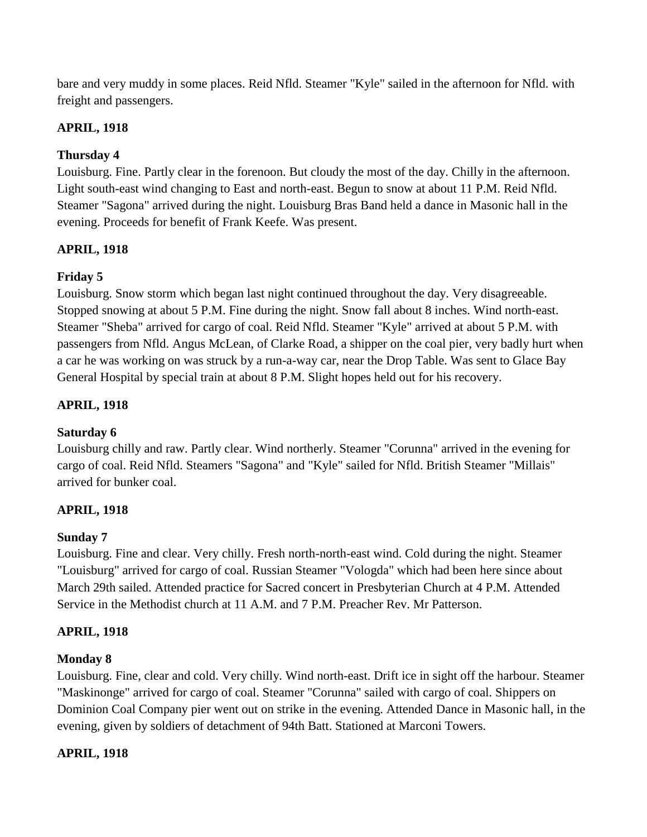bare and very muddy in some places. Reid Nfld. Steamer "Kyle" sailed in the afternoon for Nfld. with freight and passengers.

# **APRIL, 1918**

# **Thursday 4**

Louisburg. Fine. Partly clear in the forenoon. But cloudy the most of the day. Chilly in the afternoon. Light south-east wind changing to East and north-east. Begun to snow at about 11 P.M. Reid Nfld. Steamer "Sagona" arrived during the night. Louisburg Bras Band held a dance in Masonic hall in the evening. Proceeds for benefit of Frank Keefe. Was present.

# **APRIL, 1918**

# **Friday 5**

Louisburg. Snow storm which began last night continued throughout the day. Very disagreeable. Stopped snowing at about 5 P.M. Fine during the night. Snow fall about 8 inches. Wind north-east. Steamer "Sheba" arrived for cargo of coal. Reid Nfld. Steamer "Kyle" arrived at about 5 P.M. with passengers from Nfld. Angus McLean, of Clarke Road, a shipper on the coal pier, very badly hurt when a car he was working on was struck by a run-a-way car, near the Drop Table. Was sent to Glace Bay General Hospital by special train at about 8 P.M. Slight hopes held out for his recovery.

# **APRIL, 1918**

# **Saturday 6**

Louisburg chilly and raw. Partly clear. Wind northerly. Steamer "Corunna" arrived in the evening for cargo of coal. Reid Nfld. Steamers "Sagona" and "Kyle" sailed for Nfld. British Steamer "Millais" arrived for bunker coal.

# **APRIL, 1918**

# **Sunday 7**

Louisburg. Fine and clear. Very chilly. Fresh north-north-east wind. Cold during the night. Steamer "Louisburg" arrived for cargo of coal. Russian Steamer "Vologda" which had been here since about March 29th sailed. Attended practice for Sacred concert in Presbyterian Church at 4 P.M. Attended Service in the Methodist church at 11 A.M. and 7 P.M. Preacher Rev. Mr Patterson.

# **APRIL, 1918**

# **Monday 8**

Louisburg. Fine, clear and cold. Very chilly. Wind north-east. Drift ice in sight off the harbour. Steamer "Maskinonge" arrived for cargo of coal. Steamer "Corunna" sailed with cargo of coal. Shippers on Dominion Coal Company pier went out on strike in the evening. Attended Dance in Masonic hall, in the evening, given by soldiers of detachment of 94th Batt. Stationed at Marconi Towers.

# **APRIL, 1918**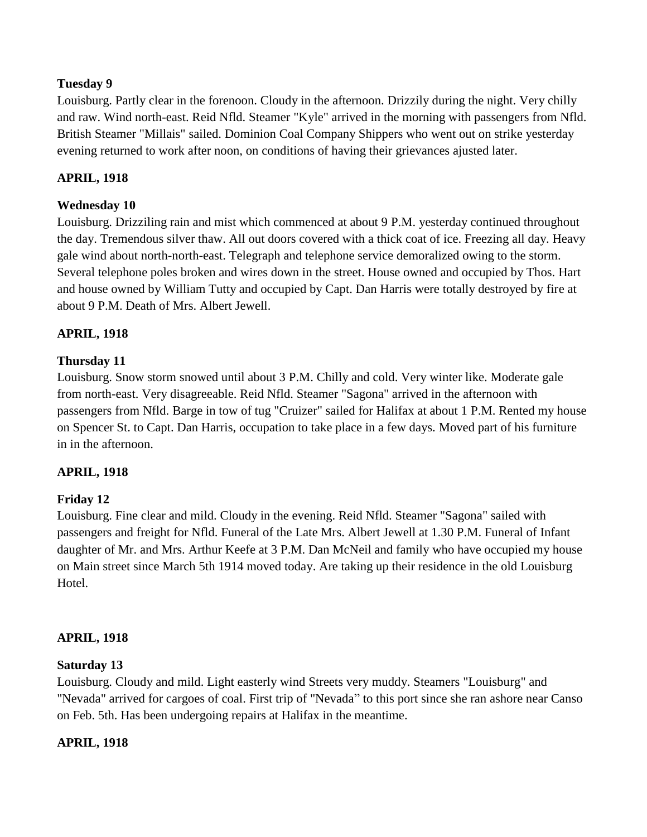Louisburg. Partly clear in the forenoon. Cloudy in the afternoon. Drizzily during the night. Very chilly and raw. Wind north-east. Reid Nfld. Steamer "Kyle" arrived in the morning with passengers from Nfld. British Steamer "Millais" sailed. Dominion Coal Company Shippers who went out on strike yesterday evening returned to work after noon, on conditions of having their grievances ajusted later.

### **APRIL, 1918**

# **Wednesday 10**

Louisburg. Drizziling rain and mist which commenced at about 9 P.M. yesterday continued throughout the day. Tremendous silver thaw. All out doors covered with a thick coat of ice. Freezing all day. Heavy gale wind about north-north-east. Telegraph and telephone service demoralized owing to the storm. Several telephone poles broken and wires down in the street. House owned and occupied by Thos. Hart and house owned by William Tutty and occupied by Capt. Dan Harris were totally destroyed by fire at about 9 P.M. Death of Mrs. Albert Jewell.

### **APRIL, 1918**

#### **Thursday 11**

Louisburg. Snow storm snowed until about 3 P.M. Chilly and cold. Very winter like. Moderate gale from north-east. Very disagreeable. Reid Nfld. Steamer "Sagona" arrived in the afternoon with passengers from Nfld. Barge in tow of tug "Cruizer" sailed for Halifax at about 1 P.M. Rented my house on Spencer St. to Capt. Dan Harris, occupation to take place in a few days. Moved part of his furniture in in the afternoon.

#### **APRIL, 1918**

#### **Friday 12**

Louisburg. Fine clear and mild. Cloudy in the evening. Reid Nfld. Steamer "Sagona" sailed with passengers and freight for Nfld. Funeral of the Late Mrs. Albert Jewell at 1.30 P.M. Funeral of Infant daughter of Mr. and Mrs. Arthur Keefe at 3 P.M. Dan McNeil and family who have occupied my house on Main street since March 5th 1914 moved today. Are taking up their residence in the old Louisburg Hotel.

#### **APRIL, 1918**

#### **Saturday 13**

Louisburg. Cloudy and mild. Light easterly wind Streets very muddy. Steamers "Louisburg" and "Nevada" arrived for cargoes of coal. First trip of "Nevada" to this port since she ran ashore near Canso on Feb. 5th. Has been undergoing repairs at Halifax in the meantime.

#### **APRIL, 1918**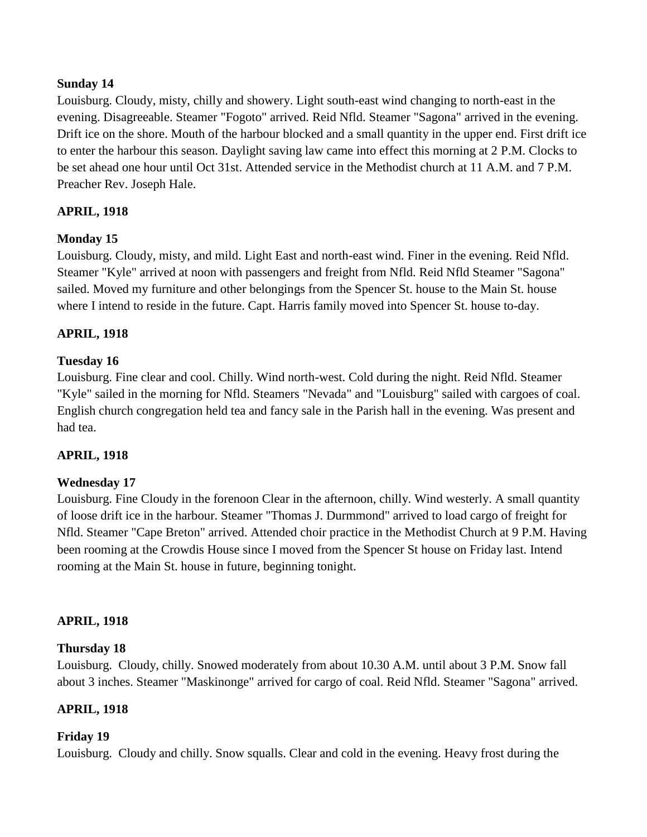### **Sunday 14**

Louisburg. Cloudy, misty, chilly and showery. Light south-east wind changing to north-east in the evening. Disagreeable. Steamer "Fogoto" arrived. Reid Nfld. Steamer "Sagona" arrived in the evening. Drift ice on the shore. Mouth of the harbour blocked and a small quantity in the upper end. First drift ice to enter the harbour this season. Daylight saving law came into effect this morning at 2 P.M. Clocks to be set ahead one hour until Oct 31st. Attended service in the Methodist church at 11 A.M. and 7 P.M. Preacher Rev. Joseph Hale.

# **APRIL, 1918**

# **Monday 15**

Louisburg. Cloudy, misty, and mild. Light East and north-east wind. Finer in the evening. Reid Nfld. Steamer "Kyle" arrived at noon with passengers and freight from Nfld. Reid Nfld Steamer "Sagona" sailed. Moved my furniture and other belongings from the Spencer St. house to the Main St. house where I intend to reside in the future. Capt. Harris family moved into Spencer St. house to-day.

### **APRIL, 1918**

#### **Tuesday 16**

Louisburg. Fine clear and cool. Chilly. Wind north-west. Cold during the night. Reid Nfld. Steamer "Kyle" sailed in the morning for Nfld. Steamers "Nevada" and "Louisburg" sailed with cargoes of coal. English church congregation held tea and fancy sale in the Parish hall in the evening. Was present and had tea.

#### **APRIL, 1918**

# **Wednesday 17**

Louisburg. Fine Cloudy in the forenoon Clear in the afternoon, chilly. Wind westerly. A small quantity of loose drift ice in the harbour. Steamer "Thomas J. Durmmond" arrived to load cargo of freight for Nfld. Steamer "Cape Breton" arrived. Attended choir practice in the Methodist Church at 9 P.M. Having been rooming at the Crowdis House since I moved from the Spencer St house on Friday last. Intend rooming at the Main St. house in future, beginning tonight.

#### **APRIL, 1918**

#### **Thursday 18**

Louisburg. Cloudy, chilly. Snowed moderately from about 10.30 A.M. until about 3 P.M. Snow fall about 3 inches. Steamer "Maskinonge" arrived for cargo of coal. Reid Nfld. Steamer "Sagona" arrived.

#### **APRIL, 1918**

#### **Friday 19**

Louisburg. Cloudy and chilly. Snow squalls. Clear and cold in the evening. Heavy frost during the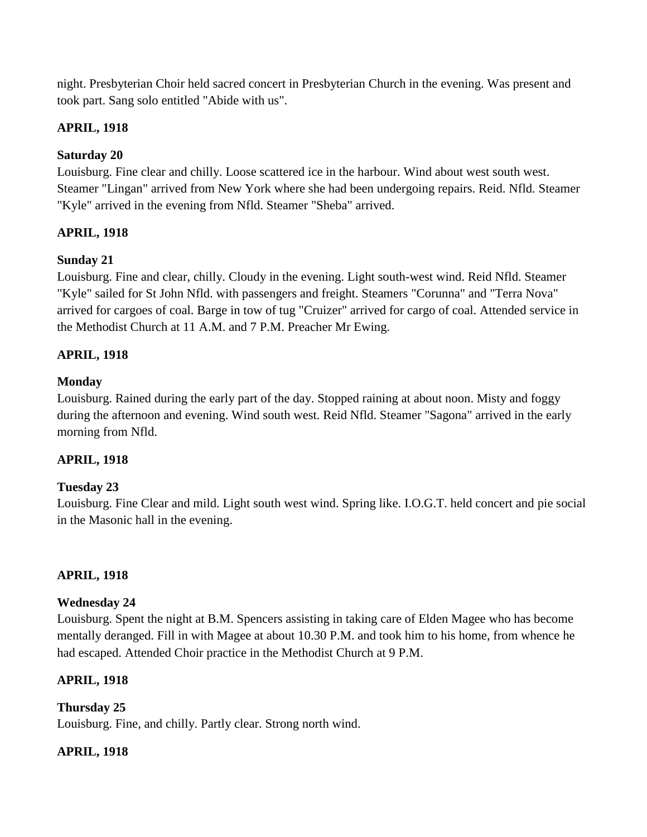night. Presbyterian Choir held sacred concert in Presbyterian Church in the evening. Was present and took part. Sang solo entitled "Abide with us".

# **APRIL, 1918**

# **Saturday 20**

Louisburg. Fine clear and chilly. Loose scattered ice in the harbour. Wind about west south west. Steamer "Lingan" arrived from New York where she had been undergoing repairs. Reid. Nfld. Steamer "Kyle" arrived in the evening from Nfld. Steamer "Sheba" arrived.

# **APRIL, 1918**

# **Sunday 21**

Louisburg. Fine and clear, chilly. Cloudy in the evening. Light south-west wind. Reid Nfld. Steamer "Kyle" sailed for St John Nfld. with passengers and freight. Steamers "Corunna" and "Terra Nova" arrived for cargoes of coal. Barge in tow of tug "Cruizer" arrived for cargo of coal. Attended service in the Methodist Church at 11 A.M. and 7 P.M. Preacher Mr Ewing.

# **APRIL, 1918**

# **Monday**

Louisburg. Rained during the early part of the day. Stopped raining at about noon. Misty and foggy during the afternoon and evening. Wind south west. Reid Nfld. Steamer "Sagona" arrived in the early morning from Nfld.

# **APRIL, 1918**

# **Tuesday 23**

Louisburg. Fine Clear and mild. Light south west wind. Spring like. I.O.G.T. held concert and pie social in the Masonic hall in the evening.

# **APRIL, 1918**

# **Wednesday 24**

Louisburg. Spent the night at B.M. Spencers assisting in taking care of Elden Magee who has become mentally deranged. Fill in with Magee at about 10.30 P.M. and took him to his home, from whence he had escaped. Attended Choir practice in the Methodist Church at 9 P.M.

# **APRIL, 1918**

**Thursday 25** Louisburg. Fine, and chilly. Partly clear. Strong north wind.

# **APRIL, 1918**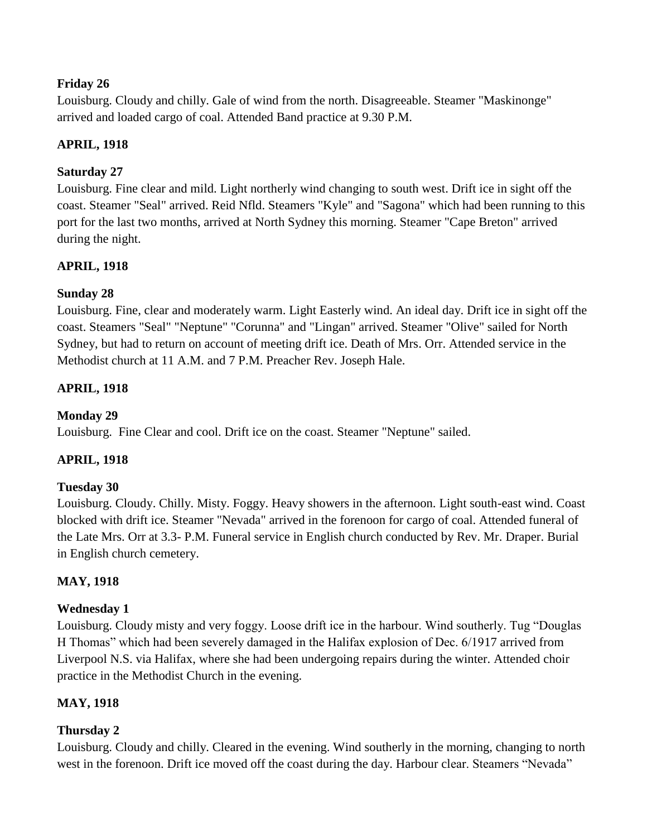# **Friday 26**

Louisburg. Cloudy and chilly. Gale of wind from the north. Disagreeable. Steamer "Maskinonge" arrived and loaded cargo of coal. Attended Band practice at 9.30 P.M.

# **APRIL, 1918**

# **Saturday 27**

Louisburg. Fine clear and mild. Light northerly wind changing to south west. Drift ice in sight off the coast. Steamer "Seal" arrived. Reid Nfld. Steamers "Kyle" and "Sagona" which had been running to this port for the last two months, arrived at North Sydney this morning. Steamer "Cape Breton" arrived during the night.

# **APRIL, 1918**

# **Sunday 28**

Louisburg. Fine, clear and moderately warm. Light Easterly wind. An ideal day. Drift ice in sight off the coast. Steamers "Seal" "Neptune" "Corunna" and "Lingan" arrived. Steamer "Olive" sailed for North Sydney, but had to return on account of meeting drift ice. Death of Mrs. Orr. Attended service in the Methodist church at 11 A.M. and 7 P.M. Preacher Rev. Joseph Hale.

# **APRIL, 1918**

# **Monday 29**

Louisburg. Fine Clear and cool. Drift ice on the coast. Steamer "Neptune" sailed.

# **APRIL, 1918**

# **Tuesday 30**

Louisburg. Cloudy. Chilly. Misty. Foggy. Heavy showers in the afternoon. Light south-east wind. Coast blocked with drift ice. Steamer "Nevada" arrived in the forenoon for cargo of coal. Attended funeral of the Late Mrs. Orr at 3.3- P.M. Funeral service in English church conducted by Rev. Mr. Draper. Burial in English church cemetery.

# **MAY, 1918**

# **Wednesday 1**

Louisburg. Cloudy misty and very foggy. Loose drift ice in the harbour. Wind southerly. Tug "Douglas H Thomas" which had been severely damaged in the Halifax explosion of Dec. 6/1917 arrived from Liverpool N.S. via Halifax, where she had been undergoing repairs during the winter. Attended choir practice in the Methodist Church in the evening.

# **MAY, 1918**

# **Thursday 2**

Louisburg. Cloudy and chilly. Cleared in the evening. Wind southerly in the morning, changing to north west in the forenoon. Drift ice moved off the coast during the day. Harbour clear. Steamers "Nevada"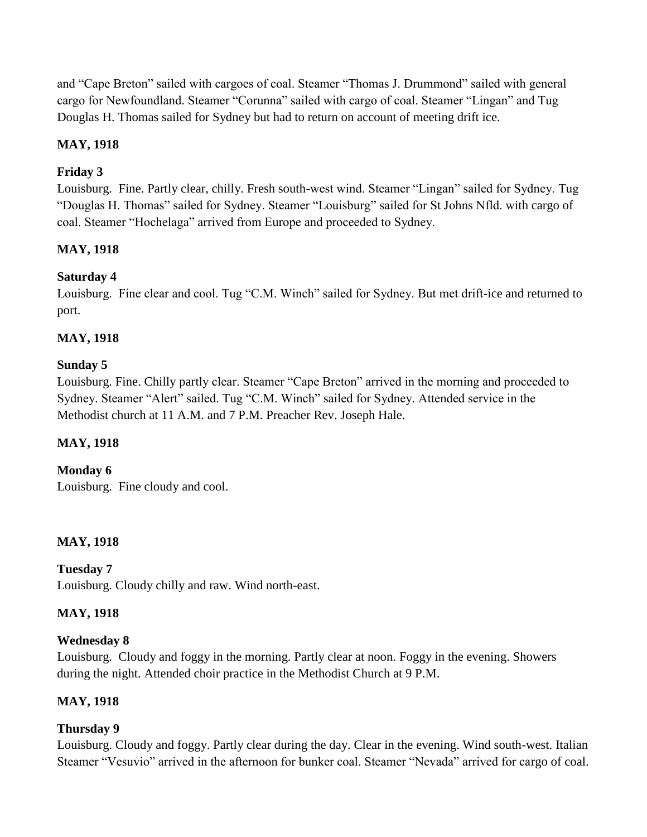and "Cape Breton" sailed with cargoes of coal. Steamer "Thomas J. Drummond" sailed with general cargo for Newfoundland. Steamer "Corunna" sailed with cargo of coal. Steamer "Lingan" and Tug Douglas H. Thomas sailed for Sydney but had to return on account of meeting drift ice.

# **MAY, 1918**

# **Friday 3**

Louisburg. Fine. Partly clear, chilly. Fresh south-west wind. Steamer "Lingan" sailed for Sydney. Tug "Douglas H. Thomas" sailed for Sydney. Steamer "Louisburg" sailed for St Johns Nfld. with cargo of coal. Steamer "Hochelaga" arrived from Europe and proceeded to Sydney.

# **MAY, 1918**

# **Saturday 4**

Louisburg. Fine clear and cool. Tug "C.M. Winch" sailed for Sydney. But met drift-ice and returned to port.

# **MAY, 1918**

# **Sunday 5**

Louisburg. Fine. Chilly partly clear. Steamer "Cape Breton" arrived in the morning and proceeded to Sydney. Steamer "Alert" sailed. Tug "C.M. Winch" sailed for Sydney. Attended service in the Methodist church at 11 A.M. and 7 P.M. Preacher Rev. Joseph Hale.

# **MAY, 1918**

**Monday 6**

Louisburg. Fine cloudy and cool.

# **MAY, 1918**

**Tuesday 7** Louisburg. Cloudy chilly and raw. Wind north-east.

# **MAY, 1918**

# **Wednesday 8**

Louisburg. Cloudy and foggy in the morning. Partly clear at noon. Foggy in the evening. Showers during the night. Attended choir practice in the Methodist Church at 9 P.M.

# **MAY, 1918**

# **Thursday 9**

Louisburg. Cloudy and foggy. Partly clear during the day. Clear in the evening. Wind south-west. Italian Steamer "Vesuvio" arrived in the afternoon for bunker coal. Steamer "Nevada" arrived for cargo of coal.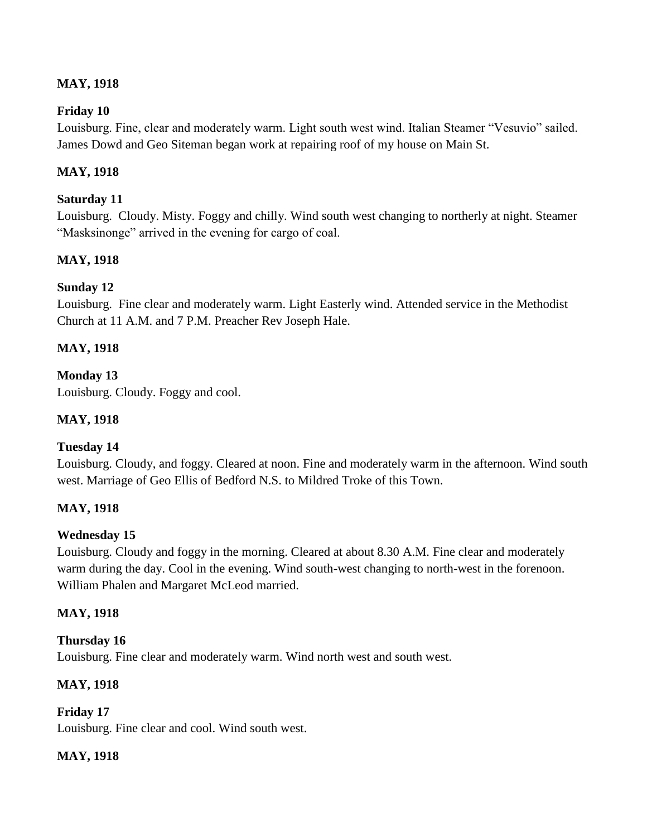# **MAY, 1918**

### **Friday 10**

Louisburg. Fine, clear and moderately warm. Light south west wind. Italian Steamer "Vesuvio" sailed. James Dowd and Geo Siteman began work at repairing roof of my house on Main St.

### **MAY, 1918**

#### **Saturday 11**

Louisburg. Cloudy. Misty. Foggy and chilly. Wind south west changing to northerly at night. Steamer "Masksinonge" arrived in the evening for cargo of coal.

### **MAY, 1918**

#### **Sunday 12**

Louisburg. Fine clear and moderately warm. Light Easterly wind. Attended service in the Methodist Church at 11 A.M. and 7 P.M. Preacher Rev Joseph Hale.

### **MAY, 1918**

# **Monday 13**

Louisburg. Cloudy. Foggy and cool.

### **MAY, 1918**

# **Tuesday 14**

Louisburg. Cloudy, and foggy. Cleared at noon. Fine and moderately warm in the afternoon. Wind south west. Marriage of Geo Ellis of Bedford N.S. to Mildred Troke of this Town.

#### **MAY, 1918**

#### **Wednesday 15**

Louisburg. Cloudy and foggy in the morning. Cleared at about 8.30 A.M. Fine clear and moderately warm during the day. Cool in the evening. Wind south-west changing to north-west in the forenoon. William Phalen and Margaret McLeod married.

#### **MAY, 1918**

#### **Thursday 16**

Louisburg. Fine clear and moderately warm. Wind north west and south west.

#### **MAY, 1918**

**Friday 17** Louisburg. Fine clear and cool. Wind south west.

#### **MAY, 1918**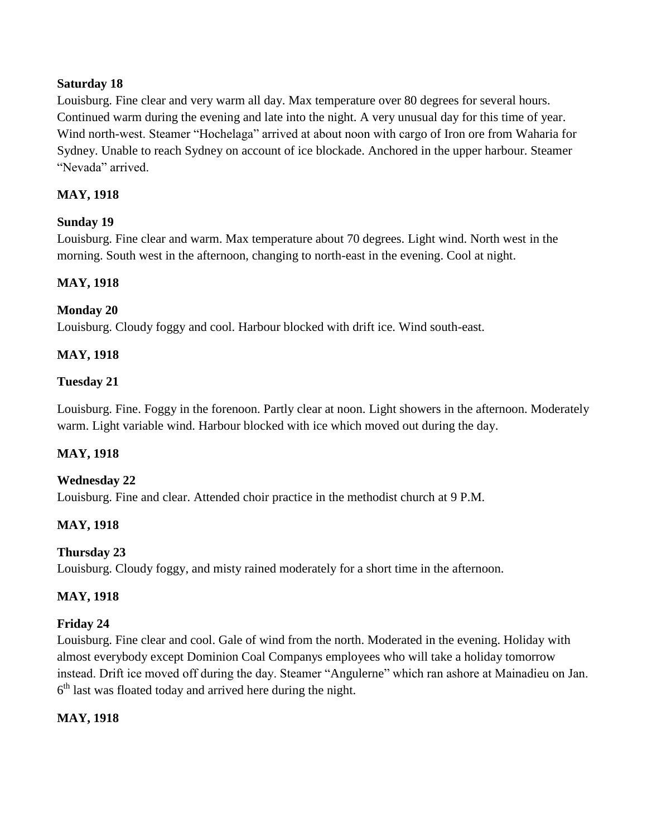### **Saturday 18**

Louisburg. Fine clear and very warm all day. Max temperature over 80 degrees for several hours. Continued warm during the evening and late into the night. A very unusual day for this time of year. Wind north-west. Steamer "Hochelaga" arrived at about noon with cargo of Iron ore from Waharia for Sydney. Unable to reach Sydney on account of ice blockade. Anchored in the upper harbour. Steamer "Nevada" arrived.

# **MAY, 1918**

# **Sunday 19**

Louisburg. Fine clear and warm. Max temperature about 70 degrees. Light wind. North west in the morning. South west in the afternoon, changing to north-east in the evening. Cool at night.

### **MAY, 1918**

# **Monday 20**

Louisburg. Cloudy foggy and cool. Harbour blocked with drift ice. Wind south-east.

### **MAY, 1918**

#### **Tuesday 21**

Louisburg. Fine. Foggy in the forenoon. Partly clear at noon. Light showers in the afternoon. Moderately warm. Light variable wind. Harbour blocked with ice which moved out during the day.

#### **MAY, 1918**

#### **Wednesday 22**

Louisburg. Fine and clear. Attended choir practice in the methodist church at 9 P.M.

# **MAY, 1918**

# **Thursday 23**

Louisburg. Cloudy foggy, and misty rained moderately for a short time in the afternoon.

#### **MAY, 1918**

#### **Friday 24**

Louisburg. Fine clear and cool. Gale of wind from the north. Moderated in the evening. Holiday with almost everybody except Dominion Coal Companys employees who will take a holiday tomorrow instead. Drift ice moved off during the day. Steamer "Angulerne" which ran ashore at Mainadieu on Jan.  $6<sup>th</sup>$  last was floated today and arrived here during the night.

#### **MAY, 1918**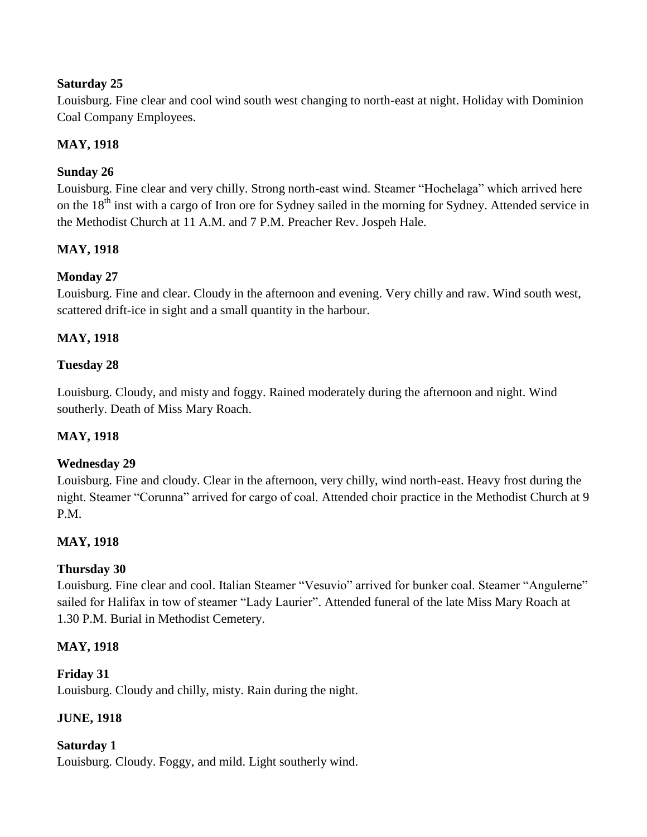# **Saturday 25**

Louisburg. Fine clear and cool wind south west changing to north-east at night. Holiday with Dominion Coal Company Employees.

# **MAY, 1918**

# **Sunday 26**

Louisburg. Fine clear and very chilly. Strong north-east wind. Steamer "Hochelaga" which arrived here on the 18<sup>th</sup> inst with a cargo of Iron ore for Sydney sailed in the morning for Sydney. Attended service in the Methodist Church at 11 A.M. and 7 P.M. Preacher Rev. Jospeh Hale.

# **MAY, 1918**

# **Monday 27**

Louisburg. Fine and clear. Cloudy in the afternoon and evening. Very chilly and raw. Wind south west, scattered drift-ice in sight and a small quantity in the harbour.

# **MAY, 1918**

# **Tuesday 28**

Louisburg. Cloudy, and misty and foggy. Rained moderately during the afternoon and night. Wind southerly. Death of Miss Mary Roach.

# **MAY, 1918**

# **Wednesday 29**

Louisburg. Fine and cloudy. Clear in the afternoon, very chilly, wind north-east. Heavy frost during the night. Steamer "Corunna" arrived for cargo of coal. Attended choir practice in the Methodist Church at 9 P<sub>M</sub>

# **MAY, 1918**

# **Thursday 30**

Louisburg. Fine clear and cool. Italian Steamer "Vesuvio" arrived for bunker coal. Steamer "Angulerne" sailed for Halifax in tow of steamer "Lady Laurier". Attended funeral of the late Miss Mary Roach at 1.30 P.M. Burial in Methodist Cemetery.

# **MAY, 1918**

# **Friday 31**

Louisburg. Cloudy and chilly, misty. Rain during the night.

# **JUNE, 1918**

# **Saturday 1**

Louisburg. Cloudy. Foggy, and mild. Light southerly wind.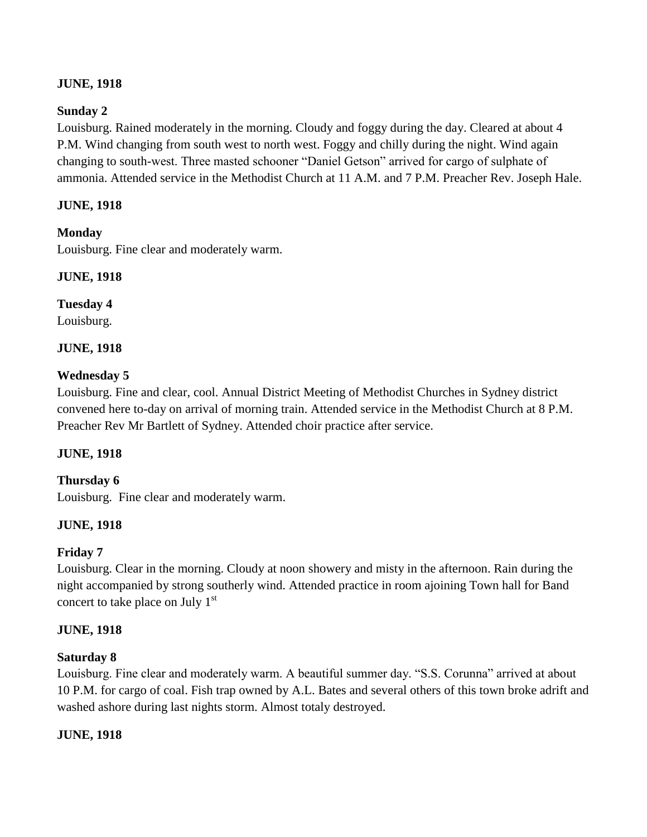# **JUNE, 1918**

# **Sunday 2**

Louisburg. Rained moderately in the morning. Cloudy and foggy during the day. Cleared at about 4 P.M. Wind changing from south west to north west. Foggy and chilly during the night. Wind again changing to south-west. Three masted schooner "Daniel Getson" arrived for cargo of sulphate of ammonia. Attended service in the Methodist Church at 11 A.M. and 7 P.M. Preacher Rev. Joseph Hale.

# **JUNE, 1918**

# **Monday**

Louisburg. Fine clear and moderately warm.

# **JUNE, 1918**

# **Tuesday 4**

Louisburg.

# **JUNE, 1918**

# **Wednesday 5**

Louisburg. Fine and clear, cool. Annual District Meeting of Methodist Churches in Sydney district convened here to-day on arrival of morning train. Attended service in the Methodist Church at 8 P.M. Preacher Rev Mr Bartlett of Sydney. Attended choir practice after service.

# **JUNE, 1918**

# **Thursday 6**

Louisburg. Fine clear and moderately warm.

# **JUNE, 1918**

# **Friday 7**

Louisburg. Clear in the morning. Cloudy at noon showery and misty in the afternoon. Rain during the night accompanied by strong southerly wind. Attended practice in room ajoining Town hall for Band concert to take place on July  $1<sup>st</sup>$ 

# **JUNE, 1918**

# **Saturday 8**

Louisburg. Fine clear and moderately warm. A beautiful summer day. "S.S. Corunna" arrived at about 10 P.M. for cargo of coal. Fish trap owned by A.L. Bates and several others of this town broke adrift and washed ashore during last nights storm. Almost totaly destroyed.

# **JUNE, 1918**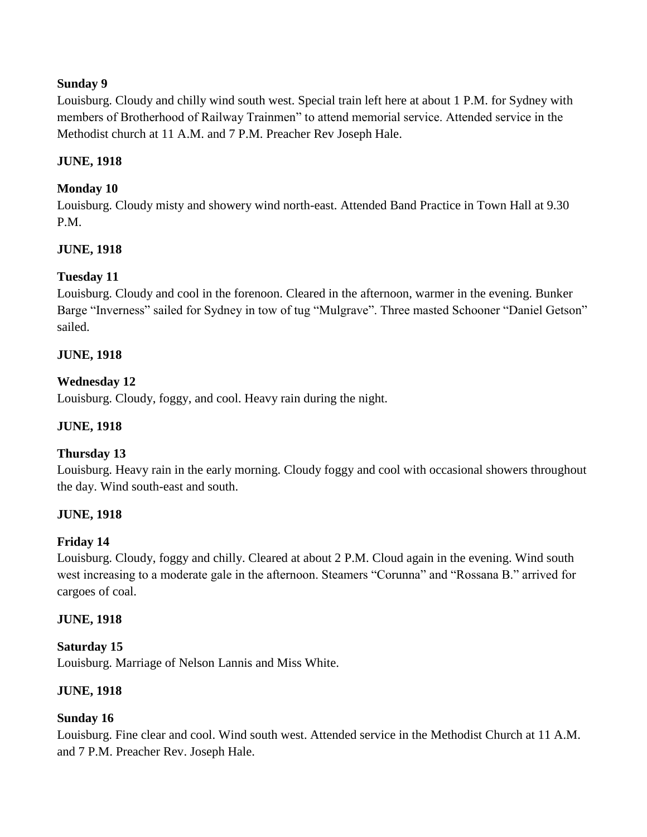# **Sunday 9**

Louisburg. Cloudy and chilly wind south west. Special train left here at about 1 P.M. for Sydney with members of Brotherhood of Railway Trainmen" to attend memorial service. Attended service in the Methodist church at 11 A.M. and 7 P.M. Preacher Rev Joseph Hale.

# **JUNE, 1918**

# **Monday 10**

Louisburg. Cloudy misty and showery wind north-east. Attended Band Practice in Town Hall at 9.30 P.M.

# **JUNE, 1918**

# **Tuesday 11**

Louisburg. Cloudy and cool in the forenoon. Cleared in the afternoon, warmer in the evening. Bunker Barge "Inverness" sailed for Sydney in tow of tug "Mulgrave". Three masted Schooner "Daniel Getson" sailed.

# **JUNE, 1918**

# **Wednesday 12**

Louisburg. Cloudy, foggy, and cool. Heavy rain during the night.

# **JUNE, 1918**

# **Thursday 13**

Louisburg. Heavy rain in the early morning. Cloudy foggy and cool with occasional showers throughout the day. Wind south-east and south.

# **JUNE, 1918**

# **Friday 14**

Louisburg. Cloudy, foggy and chilly. Cleared at about 2 P.M. Cloud again in the evening. Wind south west increasing to a moderate gale in the afternoon. Steamers "Corunna" and "Rossana B." arrived for cargoes of coal.

# **JUNE, 1918**

# **Saturday 15**

Louisburg. Marriage of Nelson Lannis and Miss White.

# **JUNE, 1918**

# **Sunday 16**

Louisburg. Fine clear and cool. Wind south west. Attended service in the Methodist Church at 11 A.M. and 7 P.M. Preacher Rev. Joseph Hale.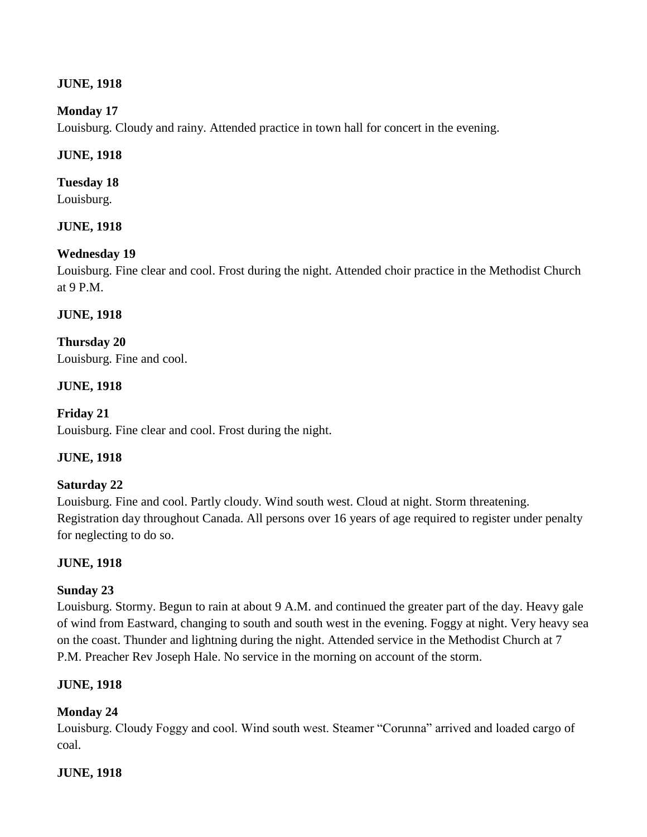# **JUNE, 1918**

# **Monday 17**

Louisburg. Cloudy and rainy. Attended practice in town hall for concert in the evening.

### **JUNE, 1918**

# **Tuesday 18**

Louisburg.

# **JUNE, 1918**

# **Wednesday 19**

Louisburg. Fine clear and cool. Frost during the night. Attended choir practice in the Methodist Church at 9 P.M.

### **JUNE, 1918**

**Thursday 20** Louisburg. Fine and cool.

# **JUNE, 1918**

# **Friday 21**

Louisburg. Fine clear and cool. Frost during the night.

# **JUNE, 1918**

# **Saturday 22**

Louisburg. Fine and cool. Partly cloudy. Wind south west. Cloud at night. Storm threatening. Registration day throughout Canada. All persons over 16 years of age required to register under penalty for neglecting to do so.

# **JUNE, 1918**

# **Sunday 23**

Louisburg. Stormy. Begun to rain at about 9 A.M. and continued the greater part of the day. Heavy gale of wind from Eastward, changing to south and south west in the evening. Foggy at night. Very heavy sea on the coast. Thunder and lightning during the night. Attended service in the Methodist Church at 7 P.M. Preacher Rev Joseph Hale. No service in the morning on account of the storm.

# **JUNE, 1918**

# **Monday 24**

Louisburg. Cloudy Foggy and cool. Wind south west. Steamer "Corunna" arrived and loaded cargo of coal.

# **JUNE, 1918**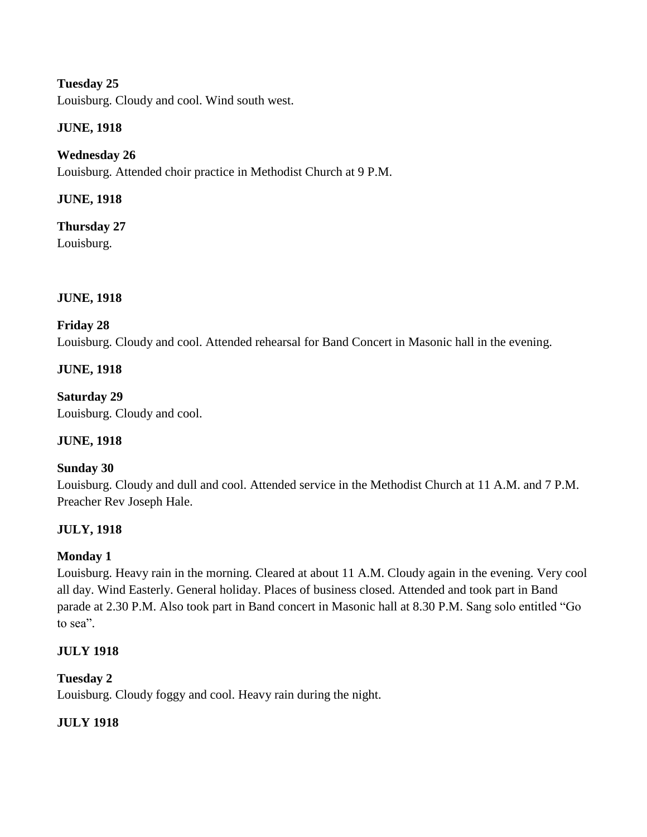Louisburg. Cloudy and cool. Wind south west.

# **JUNE, 1918**

# **Wednesday 26**

Louisburg. Attended choir practice in Methodist Church at 9 P.M.

# **JUNE, 1918**

**Thursday 27** Louisburg.

# **JUNE, 1918**

# **Friday 28**

Louisburg. Cloudy and cool. Attended rehearsal for Band Concert in Masonic hall in the evening.

# **JUNE, 1918**

**Saturday 29** Louisburg. Cloudy and cool.

# **JUNE, 1918**

# **Sunday 30**

Louisburg. Cloudy and dull and cool. Attended service in the Methodist Church at 11 A.M. and 7 P.M. Preacher Rev Joseph Hale.

# **JULY, 1918**

# **Monday 1**

Louisburg. Heavy rain in the morning. Cleared at about 11 A.M. Cloudy again in the evening. Very cool all day. Wind Easterly. General holiday. Places of business closed. Attended and took part in Band parade at 2.30 P.M. Also took part in Band concert in Masonic hall at 8.30 P.M. Sang solo entitled "Go to sea".

# **JULY 1918**

# **Tuesday 2**

Louisburg. Cloudy foggy and cool. Heavy rain during the night.

# **JULY 1918**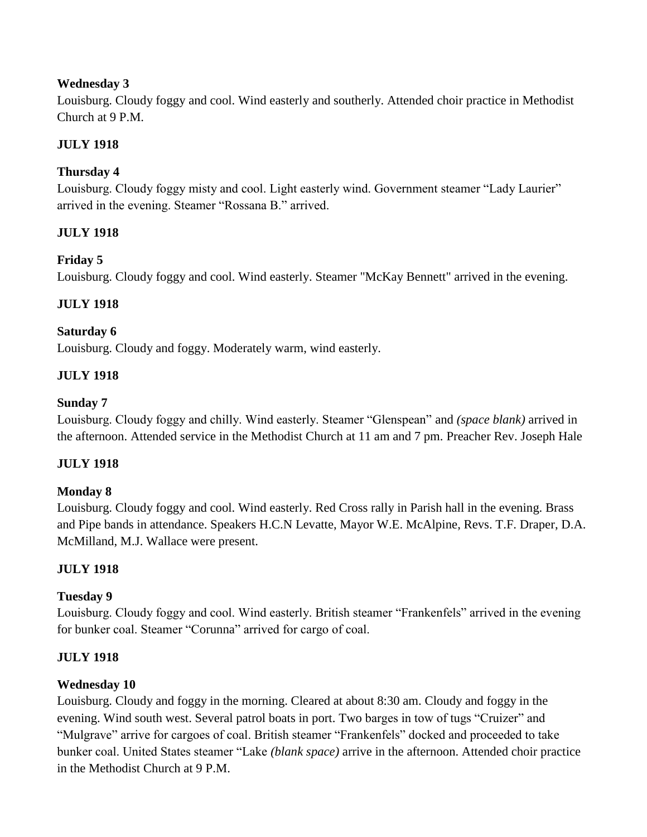# **Wednesday 3**

Louisburg. Cloudy foggy and cool. Wind easterly and southerly. Attended choir practice in Methodist Church at 9 P.M.

# **JULY 1918**

# **Thursday 4**

Louisburg. Cloudy foggy misty and cool. Light easterly wind. Government steamer "Lady Laurier" arrived in the evening. Steamer "Rossana B." arrived.

# **JULY 1918**

# **Friday 5**

Louisburg. Cloudy foggy and cool. Wind easterly. Steamer "McKay Bennett" arrived in the evening.

# **JULY 1918**

### **Saturday 6**

Louisburg. Cloudy and foggy. Moderately warm, wind easterly.

# **JULY 1918**

### **Sunday 7**

Louisburg. Cloudy foggy and chilly. Wind easterly. Steamer "Glenspean" and *(space blank)* arrived in the afternoon. Attended service in the Methodist Church at 11 am and 7 pm. Preacher Rev. Joseph Hale

# **JULY 1918**

#### **Monday 8**

Louisburg. Cloudy foggy and cool. Wind easterly. Red Cross rally in Parish hall in the evening. Brass and Pipe bands in attendance. Speakers H.C.N Levatte, Mayor W.E. McAlpine, Revs. T.F. Draper, D.A. McMilland, M.J. Wallace were present.

# **JULY 1918**

#### **Tuesday 9**

Louisburg. Cloudy foggy and cool. Wind easterly. British steamer "Frankenfels" arrived in the evening for bunker coal. Steamer "Corunna" arrived for cargo of coal.

# **JULY 1918**

# **Wednesday 10**

Louisburg. Cloudy and foggy in the morning. Cleared at about 8:30 am. Cloudy and foggy in the evening. Wind south west. Several patrol boats in port. Two barges in tow of tugs "Cruizer" and "Mulgrave" arrive for cargoes of coal. British steamer "Frankenfels" docked and proceeded to take bunker coal. United States steamer "Lake *(blank space)* arrive in the afternoon. Attended choir practice in the Methodist Church at 9 P.M.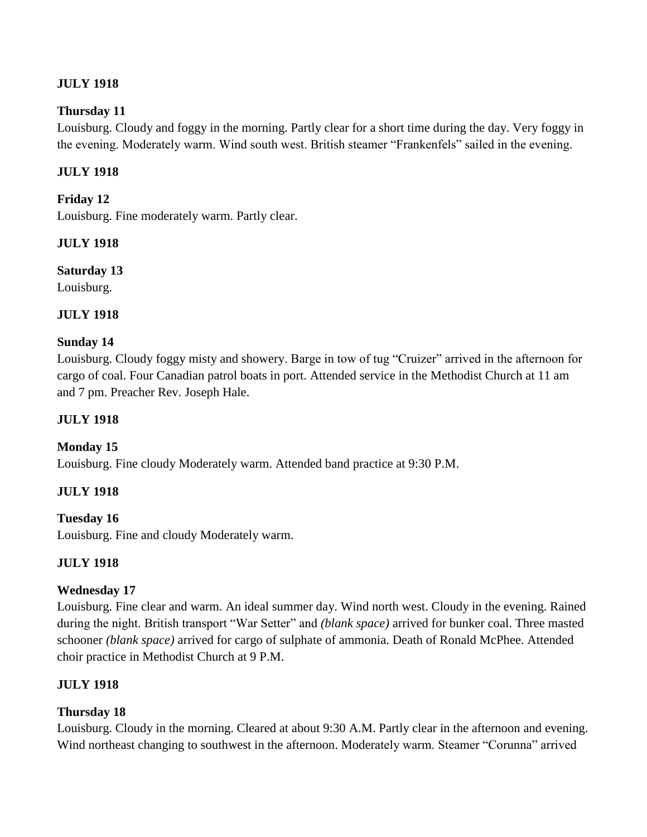# **JULY 1918**

# **Thursday 11**

Louisburg. Cloudy and foggy in the morning. Partly clear for a short time during the day. Very foggy in the evening. Moderately warm. Wind south west. British steamer "Frankenfels" sailed in the evening.

# **JULY 1918**

# **Friday 12**

Louisburg. Fine moderately warm. Partly clear.

# **JULY 1918**

# **Saturday 13**

Louisburg.

# **JULY 1918**

# **Sunday 14**

Louisburg. Cloudy foggy misty and showery. Barge in tow of tug "Cruizer" arrived in the afternoon for cargo of coal. Four Canadian patrol boats in port. Attended service in the Methodist Church at 11 am and 7 pm. Preacher Rev. Joseph Hale.

# **JULY 1918**

# **Monday 15**

Louisburg. Fine cloudy Moderately warm. Attended band practice at 9:30 P.M.

# **JULY 1918**

# **Tuesday 16**

Louisburg. Fine and cloudy Moderately warm.

# **JULY 1918**

# **Wednesday 17**

Louisburg. Fine clear and warm. An ideal summer day. Wind north west. Cloudy in the evening. Rained during the night. British transport "War Setter" and *(blank space)* arrived for bunker coal. Three masted schooner *(blank space)* arrived for cargo of sulphate of ammonia. Death of Ronald McPhee. Attended choir practice in Methodist Church at 9 P.M.

# **JULY 1918**

# **Thursday 18**

Louisburg. Cloudy in the morning. Cleared at about 9:30 A.M. Partly clear in the afternoon and evening. Wind northeast changing to southwest in the afternoon. Moderately warm. Steamer "Corunna" arrived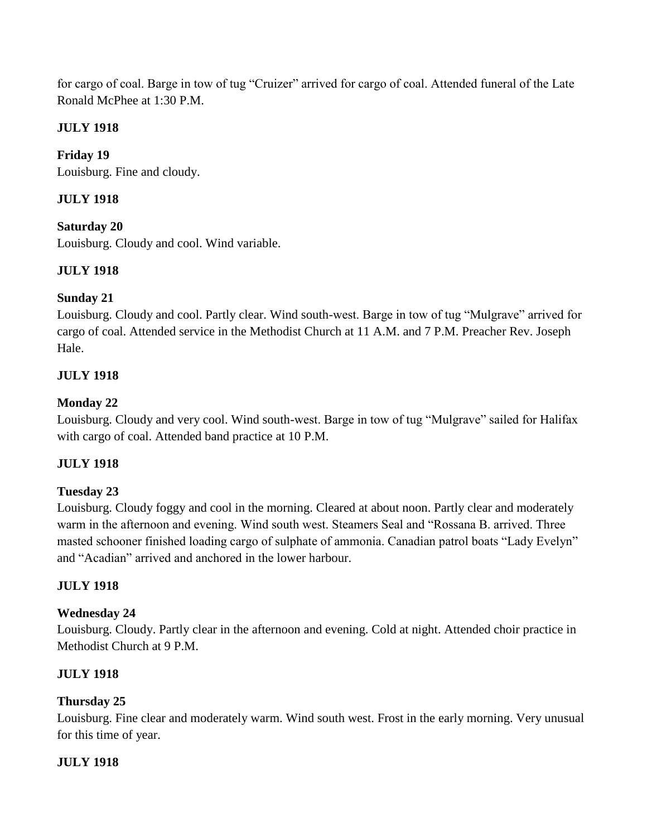for cargo of coal. Barge in tow of tug "Cruizer" arrived for cargo of coal. Attended funeral of the Late Ronald McPhee at 1:30 P.M.

# **JULY 1918**

**Friday 19** Louisburg. Fine and cloudy.

# **JULY 1918**

**Saturday 20** Louisburg. Cloudy and cool. Wind variable.

# **JULY 1918**

# **Sunday 21**

Louisburg. Cloudy and cool. Partly clear. Wind south-west. Barge in tow of tug "Mulgrave" arrived for cargo of coal. Attended service in the Methodist Church at 11 A.M. and 7 P.M. Preacher Rev. Joseph Hale.

# **JULY 1918**

# **Monday 22**

Louisburg. Cloudy and very cool. Wind south-west. Barge in tow of tug "Mulgrave" sailed for Halifax with cargo of coal. Attended band practice at 10 P.M.

# **JULY 1918**

#### **Tuesday 23**

Louisburg. Cloudy foggy and cool in the morning. Cleared at about noon. Partly clear and moderately warm in the afternoon and evening. Wind south west. Steamers Seal and "Rossana B. arrived. Three masted schooner finished loading cargo of sulphate of ammonia. Canadian patrol boats "Lady Evelyn" and "Acadian" arrived and anchored in the lower harbour.

# **JULY 1918**

# **Wednesday 24**

Louisburg. Cloudy. Partly clear in the afternoon and evening. Cold at night. Attended choir practice in Methodist Church at 9 P.M.

# **JULY 1918**

# **Thursday 25**

Louisburg. Fine clear and moderately warm. Wind south west. Frost in the early morning. Very unusual for this time of year.

# **JULY 1918**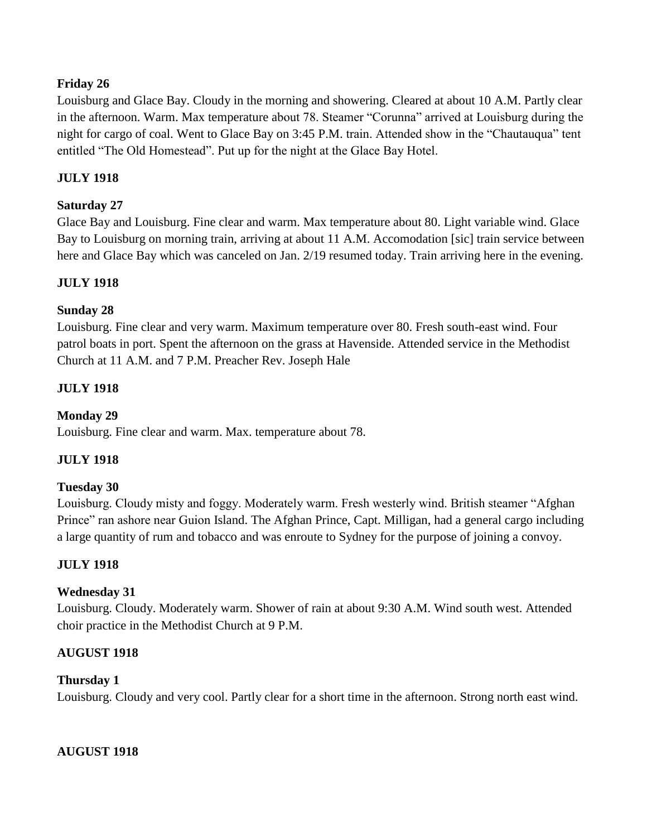# **Friday 26**

Louisburg and Glace Bay. Cloudy in the morning and showering. Cleared at about 10 A.M. Partly clear in the afternoon. Warm. Max temperature about 78. Steamer "Corunna" arrived at Louisburg during the night for cargo of coal. Went to Glace Bay on 3:45 P.M. train. Attended show in the "Chautauqua" tent entitled "The Old Homestead". Put up for the night at the Glace Bay Hotel.

# **JULY 1918**

# **Saturday 27**

Glace Bay and Louisburg. Fine clear and warm. Max temperature about 80. Light variable wind. Glace Bay to Louisburg on morning train, arriving at about 11 A.M. Accomodation [sic] train service between here and Glace Bay which was canceled on Jan. 2/19 resumed today. Train arriving here in the evening.

# **JULY 1918**

# **Sunday 28**

Louisburg. Fine clear and very warm. Maximum temperature over 80. Fresh south-east wind. Four patrol boats in port. Spent the afternoon on the grass at Havenside. Attended service in the Methodist Church at 11 A.M. and 7 P.M. Preacher Rev. Joseph Hale

# **JULY 1918**

# **Monday 29**

Louisburg. Fine clear and warm. Max. temperature about 78.

# **JULY 1918**

# **Tuesday 30**

Louisburg. Cloudy misty and foggy. Moderately warm. Fresh westerly wind. British steamer "Afghan Prince" ran ashore near Guion Island. The Afghan Prince, Capt. Milligan, had a general cargo including a large quantity of rum and tobacco and was enroute to Sydney for the purpose of joining a convoy.

# **JULY 1918**

# **Wednesday 31**

Louisburg. Cloudy. Moderately warm. Shower of rain at about 9:30 A.M. Wind south west. Attended choir practice in the Methodist Church at 9 P.M.

# **AUGUST 1918**

#### **Thursday 1**

Louisburg. Cloudy and very cool. Partly clear for a short time in the afternoon. Strong north east wind.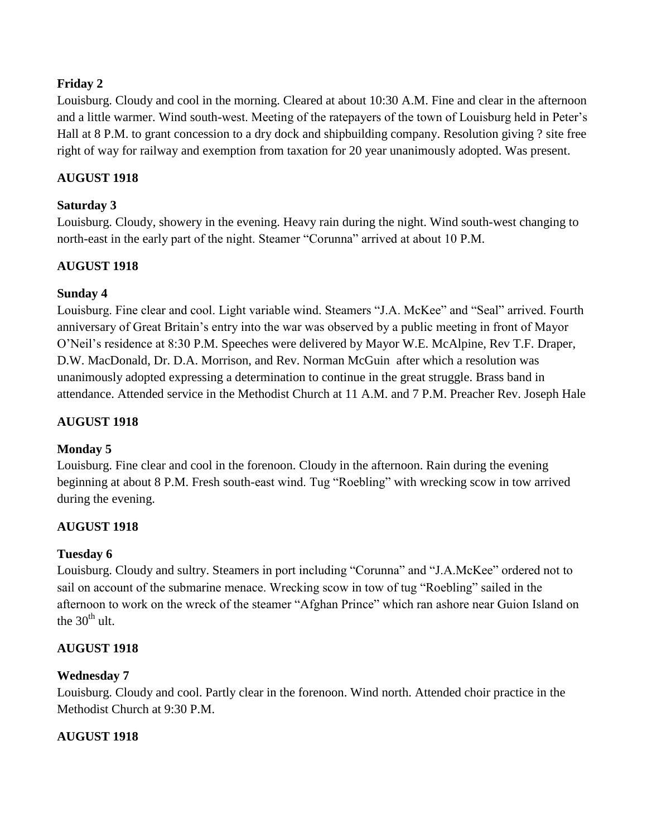# **Friday 2**

Louisburg. Cloudy and cool in the morning. Cleared at about 10:30 A.M. Fine and clear in the afternoon and a little warmer. Wind south-west. Meeting of the ratepayers of the town of Louisburg held in Peter's Hall at 8 P.M. to grant concession to a dry dock and shipbuilding company. Resolution giving ? site free right of way for railway and exemption from taxation for 20 year unanimously adopted. Was present.

# **AUGUST 1918**

# **Saturday 3**

Louisburg. Cloudy, showery in the evening. Heavy rain during the night. Wind south-west changing to north-east in the early part of the night. Steamer "Corunna" arrived at about 10 P.M.

# **AUGUST 1918**

# **Sunday 4**

Louisburg. Fine clear and cool. Light variable wind. Steamers "J.A. McKee" and "Seal" arrived. Fourth anniversary of Great Britain's entry into the war was observed by a public meeting in front of Mayor O'Neil's residence at 8:30 P.M. Speeches were delivered by Mayor W.E. McAlpine, Rev T.F. Draper, D.W. MacDonald, Dr. D.A. Morrison, and Rev. Norman McGuin after which a resolution was unanimously adopted expressing a determination to continue in the great struggle. Brass band in attendance. Attended service in the Methodist Church at 11 A.M. and 7 P.M. Preacher Rev. Joseph Hale

# **AUGUST 1918**

# **Monday 5**

Louisburg. Fine clear and cool in the forenoon. Cloudy in the afternoon. Rain during the evening beginning at about 8 P.M. Fresh south-east wind. Tug "Roebling" with wrecking scow in tow arrived during the evening.

# **AUGUST 1918**

# **Tuesday 6**

Louisburg. Cloudy and sultry. Steamers in port including "Corunna" and "J.A.McKee" ordered not to sail on account of the submarine menace. Wrecking scow in tow of tug "Roebling" sailed in the afternoon to work on the wreck of the steamer "Afghan Prince" which ran ashore near Guion Island on the  $30<sup>th</sup>$  ult.

# **AUGUST 1918**

# **Wednesday 7**

Louisburg. Cloudy and cool. Partly clear in the forenoon. Wind north. Attended choir practice in the Methodist Church at 9:30 P.M.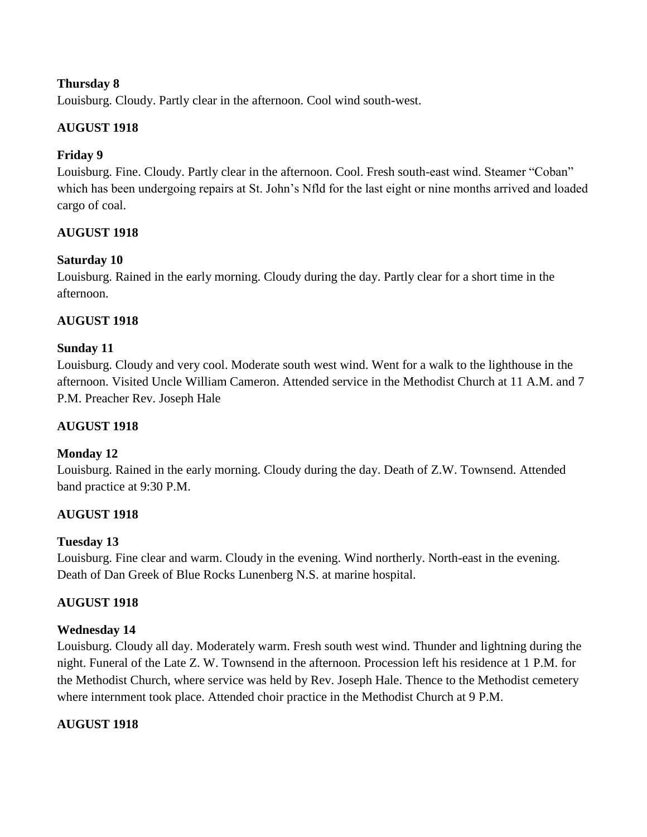Louisburg. Cloudy. Partly clear in the afternoon. Cool wind south-west.

# **AUGUST 1918**

# **Friday 9**

Louisburg. Fine. Cloudy. Partly clear in the afternoon. Cool. Fresh south-east wind. Steamer "Coban" which has been undergoing repairs at St. John's Nfld for the last eight or nine months arrived and loaded cargo of coal.

# **AUGUST 1918**

# **Saturday 10**

Louisburg. Rained in the early morning. Cloudy during the day. Partly clear for a short time in the afternoon.

# **AUGUST 1918**

# **Sunday 11**

Louisburg. Cloudy and very cool. Moderate south west wind. Went for a walk to the lighthouse in the afternoon. Visited Uncle William Cameron. Attended service in the Methodist Church at 11 A.M. and 7 P.M. Preacher Rev. Joseph Hale

# **AUGUST 1918**

# **Monday 12**

Louisburg. Rained in the early morning. Cloudy during the day. Death of Z.W. Townsend. Attended band practice at 9:30 P.M.

# **AUGUST 1918**

# **Tuesday 13**

Louisburg. Fine clear and warm. Cloudy in the evening. Wind northerly. North-east in the evening. Death of Dan Greek of Blue Rocks Lunenberg N.S. at marine hospital.

# **AUGUST 1918**

# **Wednesday 14**

Louisburg. Cloudy all day. Moderately warm. Fresh south west wind. Thunder and lightning during the night. Funeral of the Late Z. W. Townsend in the afternoon. Procession left his residence at 1 P.M. for the Methodist Church, where service was held by Rev. Joseph Hale. Thence to the Methodist cemetery where internment took place. Attended choir practice in the Methodist Church at 9 P.M.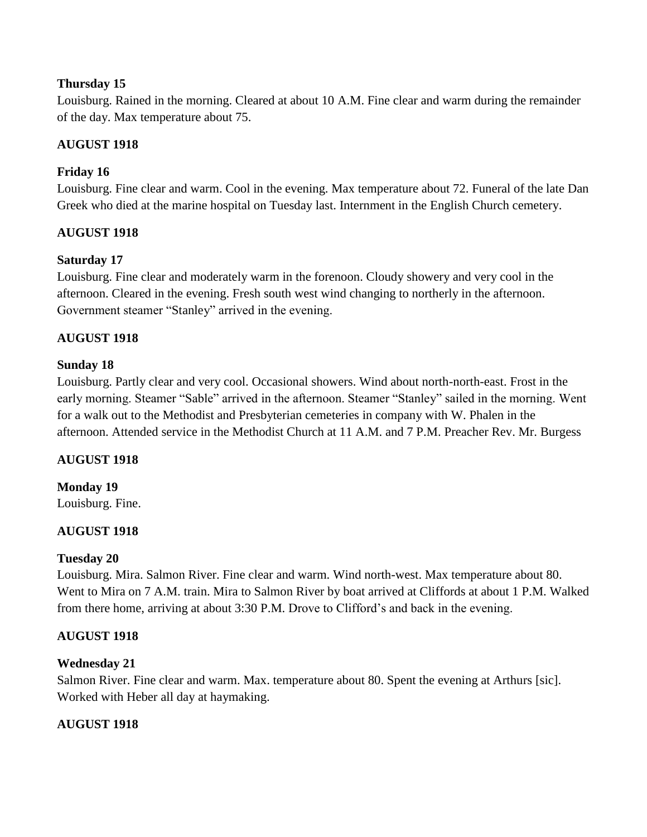Louisburg. Rained in the morning. Cleared at about 10 A.M. Fine clear and warm during the remainder of the day. Max temperature about 75.

# **AUGUST 1918**

# **Friday 16**

Louisburg. Fine clear and warm. Cool in the evening. Max temperature about 72. Funeral of the late Dan Greek who died at the marine hospital on Tuesday last. Internment in the English Church cemetery.

# **AUGUST 1918**

# **Saturday 17**

Louisburg. Fine clear and moderately warm in the forenoon. Cloudy showery and very cool in the afternoon. Cleared in the evening. Fresh south west wind changing to northerly in the afternoon. Government steamer "Stanley" arrived in the evening.

# **AUGUST 1918**

# **Sunday 18**

Louisburg. Partly clear and very cool. Occasional showers. Wind about north-north-east. Frost in the early morning. Steamer "Sable" arrived in the afternoon. Steamer "Stanley" sailed in the morning. Went for a walk out to the Methodist and Presbyterian cemeteries in company with W. Phalen in the afternoon. Attended service in the Methodist Church at 11 A.M. and 7 P.M. Preacher Rev. Mr. Burgess

# **AUGUST 1918**

# **Monday 19**

Louisburg. Fine.

# **AUGUST 1918**

#### **Tuesday 20**

Louisburg. Mira. Salmon River. Fine clear and warm. Wind north-west. Max temperature about 80. Went to Mira on 7 A.M. train. Mira to Salmon River by boat arrived at Cliffords at about 1 P.M. Walked from there home, arriving at about 3:30 P.M. Drove to Clifford's and back in the evening.

# **AUGUST 1918**

# **Wednesday 21**

Salmon River. Fine clear and warm. Max. temperature about 80. Spent the evening at Arthurs [sic]. Worked with Heber all day at haymaking.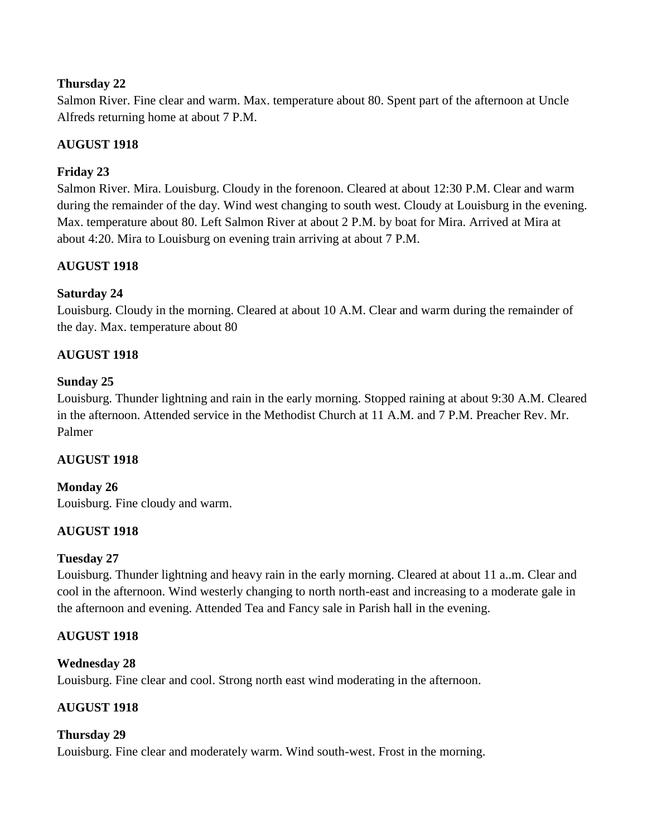Salmon River. Fine clear and warm. Max. temperature about 80. Spent part of the afternoon at Uncle Alfreds returning home at about 7 P.M.

# **AUGUST 1918**

# **Friday 23**

Salmon River. Mira. Louisburg. Cloudy in the forenoon. Cleared at about 12:30 P.M. Clear and warm during the remainder of the day. Wind west changing to south west. Cloudy at Louisburg in the evening. Max. temperature about 80. Left Salmon River at about 2 P.M. by boat for Mira. Arrived at Mira at about 4:20. Mira to Louisburg on evening train arriving at about 7 P.M.

# **AUGUST 1918**

# **Saturday 24**

Louisburg. Cloudy in the morning. Cleared at about 10 A.M. Clear and warm during the remainder of the day. Max. temperature about 80

# **AUGUST 1918**

# **Sunday 25**

Louisburg. Thunder lightning and rain in the early morning. Stopped raining at about 9:30 A.M. Cleared in the afternoon. Attended service in the Methodist Church at 11 A.M. and 7 P.M. Preacher Rev. Mr. Palmer

# **AUGUST 1918**

# **Monday 26**

Louisburg. Fine cloudy and warm.

# **AUGUST 1918**

# **Tuesday 27**

Louisburg. Thunder lightning and heavy rain in the early morning. Cleared at about 11 a..m. Clear and cool in the afternoon. Wind westerly changing to north north-east and increasing to a moderate gale in the afternoon and evening. Attended Tea and Fancy sale in Parish hall in the evening.

# **AUGUST 1918**

# **Wednesday 28**

Louisburg. Fine clear and cool. Strong north east wind moderating in the afternoon.

# **AUGUST 1918**

# **Thursday 29**

Louisburg. Fine clear and moderately warm. Wind south-west. Frost in the morning.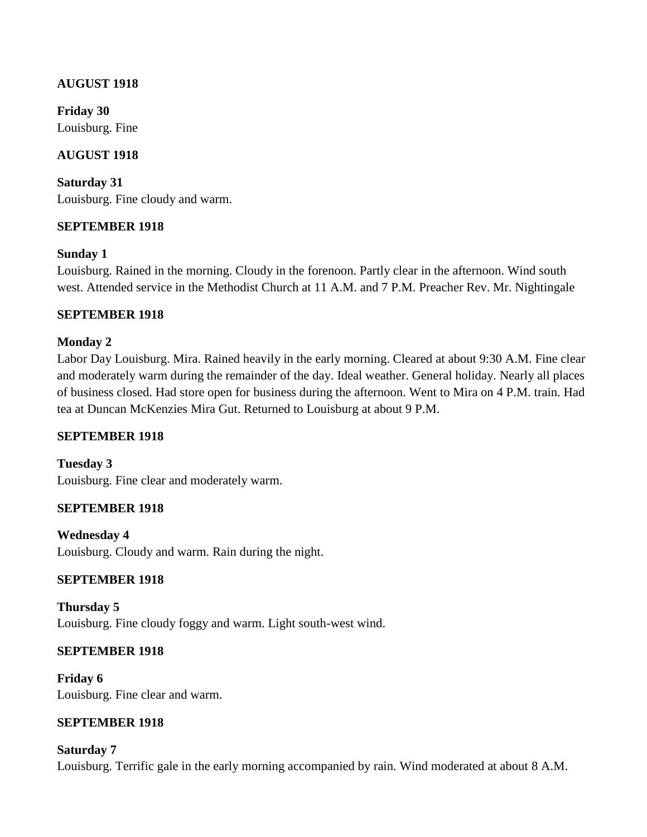# **AUGUST 1918**

**Friday 30** Louisburg. Fine

# **AUGUST 1918**

**Saturday 31** Louisburg. Fine cloudy and warm.

# **SEPTEMBER 1918**

# **Sunday 1**

Louisburg. Rained in the morning. Cloudy in the forenoon. Partly clear in the afternoon. Wind south west. Attended service in the Methodist Church at 11 A.M. and 7 P.M. Preacher Rev. Mr. Nightingale

# **SEPTEMBER 1918**

# **Monday 2**

Labor Day Louisburg. Mira. Rained heavily in the early morning. Cleared at about 9:30 A.M. Fine clear and moderately warm during the remainder of the day. Ideal weather. General holiday. Nearly all places of business closed. Had store open for business during the afternoon. Went to Mira on 4 P.M. train. Had tea at Duncan McKenzies Mira Gut. Returned to Louisburg at about 9 P.M.

# **SEPTEMBER 1918**

**Tuesday 3** Louisburg. Fine clear and moderately warm.

# **SEPTEMBER 1918**

**Wednesday 4** Louisburg. Cloudy and warm. Rain during the night.

# **SEPTEMBER 1918**

**Thursday 5** Louisburg. Fine cloudy foggy and warm. Light south-west wind.

# **SEPTEMBER 1918**

**Friday 6** Louisburg. Fine clear and warm.

# **SEPTEMBER 1918**

#### **Saturday 7**

Louisburg. Terrific gale in the early morning accompanied by rain. Wind moderated at about 8 A.M.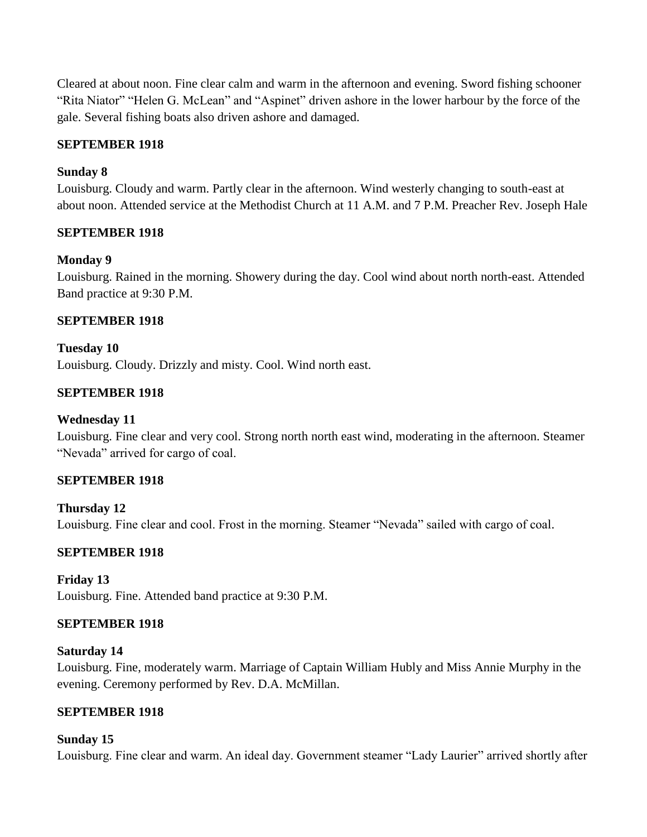Cleared at about noon. Fine clear calm and warm in the afternoon and evening. Sword fishing schooner "Rita Niator" "Helen G. McLean" and "Aspinet" driven ashore in the lower harbour by the force of the gale. Several fishing boats also driven ashore and damaged.

# **SEPTEMBER 1918**

# **Sunday 8**

Louisburg. Cloudy and warm. Partly clear in the afternoon. Wind westerly changing to south-east at about noon. Attended service at the Methodist Church at 11 A.M. and 7 P.M. Preacher Rev. Joseph Hale

# **SEPTEMBER 1918**

# **Monday 9**

Louisburg. Rained in the morning. Showery during the day. Cool wind about north north-east. Attended Band practice at 9:30 P.M.

# **SEPTEMBER 1918**

# **Tuesday 10**

Louisburg. Cloudy. Drizzly and misty. Cool. Wind north east.

# **SEPTEMBER 1918**

# **Wednesday 11**

Louisburg. Fine clear and very cool. Strong north north east wind, moderating in the afternoon. Steamer "Nevada" arrived for cargo of coal.

# **SEPTEMBER 1918**

**Thursday 12** Louisburg. Fine clear and cool. Frost in the morning. Steamer "Nevada" sailed with cargo of coal.

# **SEPTEMBER 1918**

# **Friday 13**

Louisburg. Fine. Attended band practice at 9:30 P.M.

# **SEPTEMBER 1918**

# **Saturday 14**

Louisburg. Fine, moderately warm. Marriage of Captain William Hubly and Miss Annie Murphy in the evening. Ceremony performed by Rev. D.A. McMillan.

# **SEPTEMBER 1918**

# **Sunday 15**

Louisburg. Fine clear and warm. An ideal day. Government steamer "Lady Laurier" arrived shortly after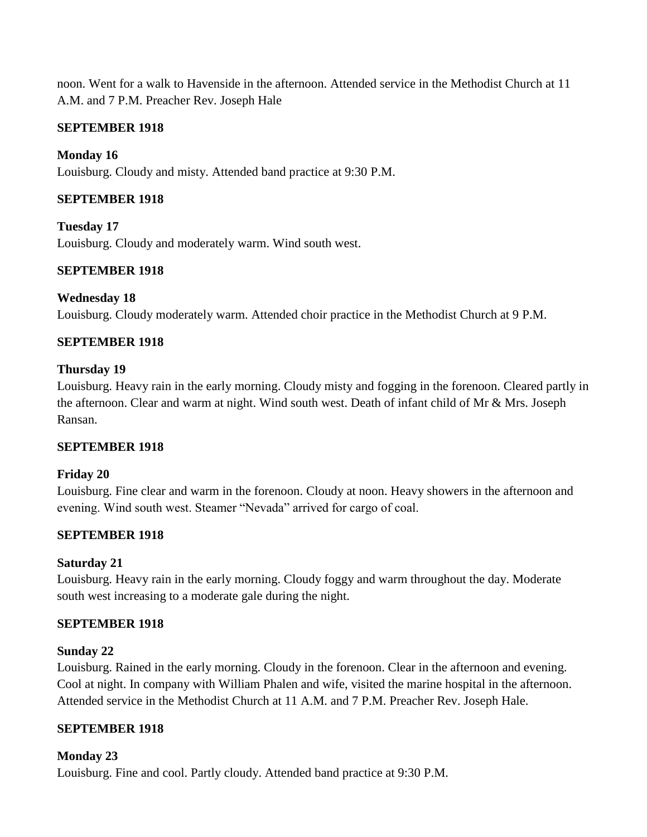noon. Went for a walk to Havenside in the afternoon. Attended service in the Methodist Church at 11 A.M. and 7 P.M. Preacher Rev. Joseph Hale

# **SEPTEMBER 1918**

# **Monday 16**

Louisburg. Cloudy and misty. Attended band practice at 9:30 P.M.

# **SEPTEMBER 1918**

**Tuesday 17** Louisburg. Cloudy and moderately warm. Wind south west.

# **SEPTEMBER 1918**

### **Wednesday 18**

Louisburg. Cloudy moderately warm. Attended choir practice in the Methodist Church at 9 P.M.

# **SEPTEMBER 1918**

### **Thursday 19**

Louisburg. Heavy rain in the early morning. Cloudy misty and fogging in the forenoon. Cleared partly in the afternoon. Clear and warm at night. Wind south west. Death of infant child of Mr & Mrs. Joseph Ransan.

# **SEPTEMBER 1918**

# **Friday 20**

Louisburg. Fine clear and warm in the forenoon. Cloudy at noon. Heavy showers in the afternoon and evening. Wind south west. Steamer "Nevada" arrived for cargo of coal.

# **SEPTEMBER 1918**

# **Saturday 21**

Louisburg. Heavy rain in the early morning. Cloudy foggy and warm throughout the day. Moderate south west increasing to a moderate gale during the night.

#### **SEPTEMBER 1918**

# **Sunday 22**

Louisburg. Rained in the early morning. Cloudy in the forenoon. Clear in the afternoon and evening. Cool at night. In company with William Phalen and wife, visited the marine hospital in the afternoon. Attended service in the Methodist Church at 11 A.M. and 7 P.M. Preacher Rev. Joseph Hale.

# **SEPTEMBER 1918**

# **Monday 23**

Louisburg. Fine and cool. Partly cloudy. Attended band practice at 9:30 P.M.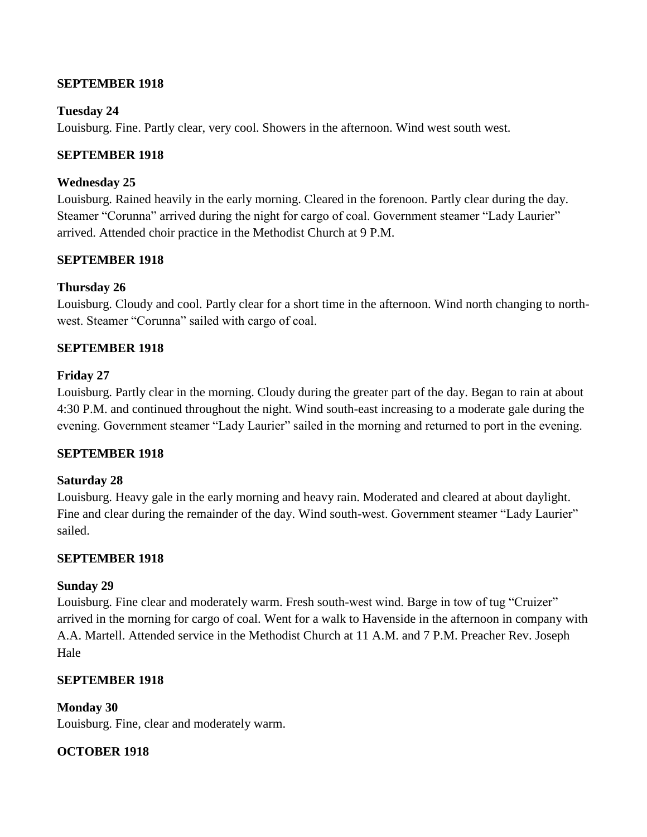### **SEPTEMBER 1918**

### **Tuesday 24**

Louisburg. Fine. Partly clear, very cool. Showers in the afternoon. Wind west south west.

### **SEPTEMBER 1918**

### **Wednesday 25**

Louisburg. Rained heavily in the early morning. Cleared in the forenoon. Partly clear during the day. Steamer "Corunna" arrived during the night for cargo of coal. Government steamer "Lady Laurier" arrived. Attended choir practice in the Methodist Church at 9 P.M.

### **SEPTEMBER 1918**

### **Thursday 26**

Louisburg. Cloudy and cool. Partly clear for a short time in the afternoon. Wind north changing to northwest. Steamer "Corunna" sailed with cargo of coal.

### **SEPTEMBER 1918**

### **Friday 27**

Louisburg. Partly clear in the morning. Cloudy during the greater part of the day. Began to rain at about 4:30 P.M. and continued throughout the night. Wind south-east increasing to a moderate gale during the evening. Government steamer "Lady Laurier" sailed in the morning and returned to port in the evening.

#### **SEPTEMBER 1918**

#### **Saturday 28**

Louisburg. Heavy gale in the early morning and heavy rain. Moderated and cleared at about daylight. Fine and clear during the remainder of the day. Wind south-west. Government steamer "Lady Laurier" sailed.

#### **SEPTEMBER 1918**

#### **Sunday 29**

Louisburg. Fine clear and moderately warm. Fresh south-west wind. Barge in tow of tug "Cruizer" arrived in the morning for cargo of coal. Went for a walk to Havenside in the afternoon in company with A.A. Martell. Attended service in the Methodist Church at 11 A.M. and 7 P.M. Preacher Rev. Joseph Hale

# **SEPTEMBER 1918**

**Monday 30** Louisburg. Fine, clear and moderately warm.

# **OCTOBER 1918**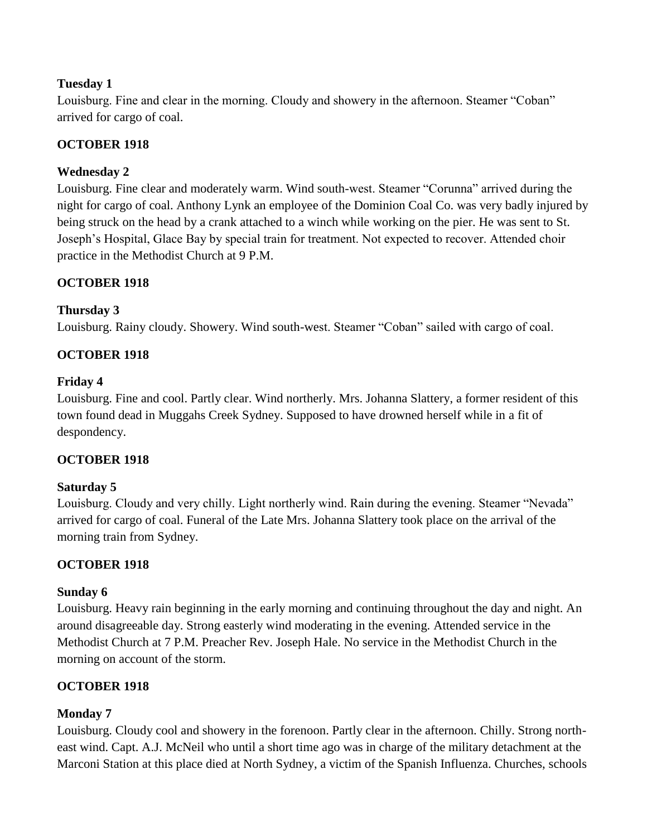Louisburg. Fine and clear in the morning. Cloudy and showery in the afternoon. Steamer "Coban" arrived for cargo of coal.

# **OCTOBER 1918**

# **Wednesday 2**

Louisburg. Fine clear and moderately warm. Wind south-west. Steamer "Corunna" arrived during the night for cargo of coal. Anthony Lynk an employee of the Dominion Coal Co. was very badly injured by being struck on the head by a crank attached to a winch while working on the pier. He was sent to St. Joseph's Hospital, Glace Bay by special train for treatment. Not expected to recover. Attended choir practice in the Methodist Church at 9 P.M.

# **OCTOBER 1918**

# **Thursday 3**

Louisburg. Rainy cloudy. Showery. Wind south-west. Steamer "Coban" sailed with cargo of coal.

# **OCTOBER 1918**

# **Friday 4**

Louisburg. Fine and cool. Partly clear. Wind northerly. Mrs. Johanna Slattery, a former resident of this town found dead in Muggahs Creek Sydney. Supposed to have drowned herself while in a fit of despondency.

# **OCTOBER 1918**

# **Saturday 5**

Louisburg. Cloudy and very chilly. Light northerly wind. Rain during the evening. Steamer "Nevada" arrived for cargo of coal. Funeral of the Late Mrs. Johanna Slattery took place on the arrival of the morning train from Sydney.

# **OCTOBER 1918**

# **Sunday 6**

Louisburg. Heavy rain beginning in the early morning and continuing throughout the day and night. An around disagreeable day. Strong easterly wind moderating in the evening. Attended service in the Methodist Church at 7 P.M. Preacher Rev. Joseph Hale. No service in the Methodist Church in the morning on account of the storm.

# **OCTOBER 1918**

# **Monday 7**

Louisburg. Cloudy cool and showery in the forenoon. Partly clear in the afternoon. Chilly. Strong northeast wind. Capt. A.J. McNeil who until a short time ago was in charge of the military detachment at the Marconi Station at this place died at North Sydney, a victim of the Spanish Influenza. Churches, schools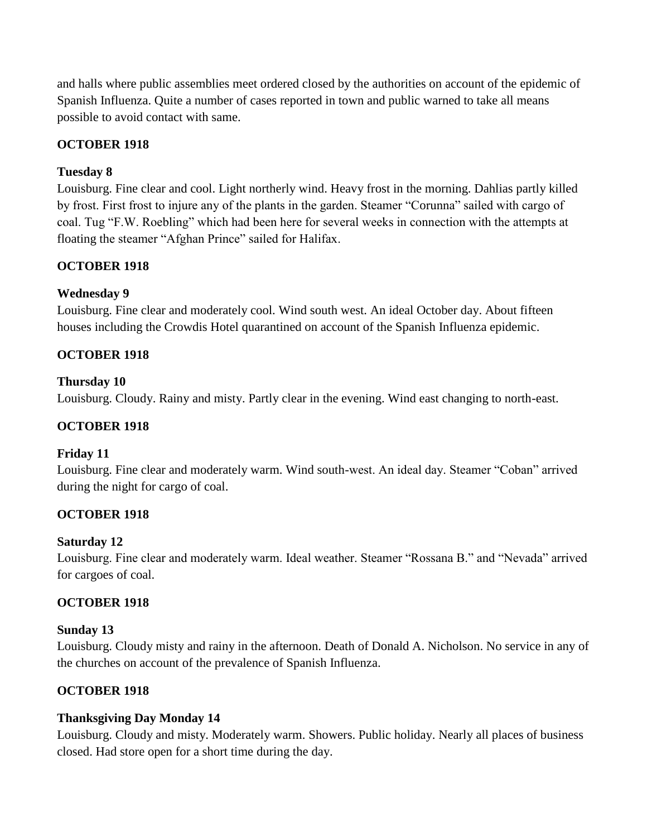and halls where public assemblies meet ordered closed by the authorities on account of the epidemic of Spanish Influenza. Quite a number of cases reported in town and public warned to take all means possible to avoid contact with same.

# **OCTOBER 1918**

# **Tuesday 8**

Louisburg. Fine clear and cool. Light northerly wind. Heavy frost in the morning. Dahlias partly killed by frost. First frost to injure any of the plants in the garden. Steamer "Corunna" sailed with cargo of coal. Tug "F.W. Roebling" which had been here for several weeks in connection with the attempts at floating the steamer "Afghan Prince" sailed for Halifax.

# **OCTOBER 1918**

# **Wednesday 9**

Louisburg. Fine clear and moderately cool. Wind south west. An ideal October day. About fifteen houses including the Crowdis Hotel quarantined on account of the Spanish Influenza epidemic.

# **OCTOBER 1918**

# **Thursday 10**

Louisburg. Cloudy. Rainy and misty. Partly clear in the evening. Wind east changing to north-east.

# **OCTOBER 1918**

# **Friday 11**

Louisburg. Fine clear and moderately warm. Wind south-west. An ideal day. Steamer "Coban" arrived during the night for cargo of coal.

# **OCTOBER 1918**

#### **Saturday 12**

Louisburg. Fine clear and moderately warm. Ideal weather. Steamer "Rossana B." and "Nevada" arrived for cargoes of coal.

# **OCTOBER 1918**

#### **Sunday 13**

Louisburg. Cloudy misty and rainy in the afternoon. Death of Donald A. Nicholson. No service in any of the churches on account of the prevalence of Spanish Influenza.

# **OCTOBER 1918**

# **Thanksgiving Day Monday 14**

Louisburg. Cloudy and misty. Moderately warm. Showers. Public holiday. Nearly all places of business closed. Had store open for a short time during the day.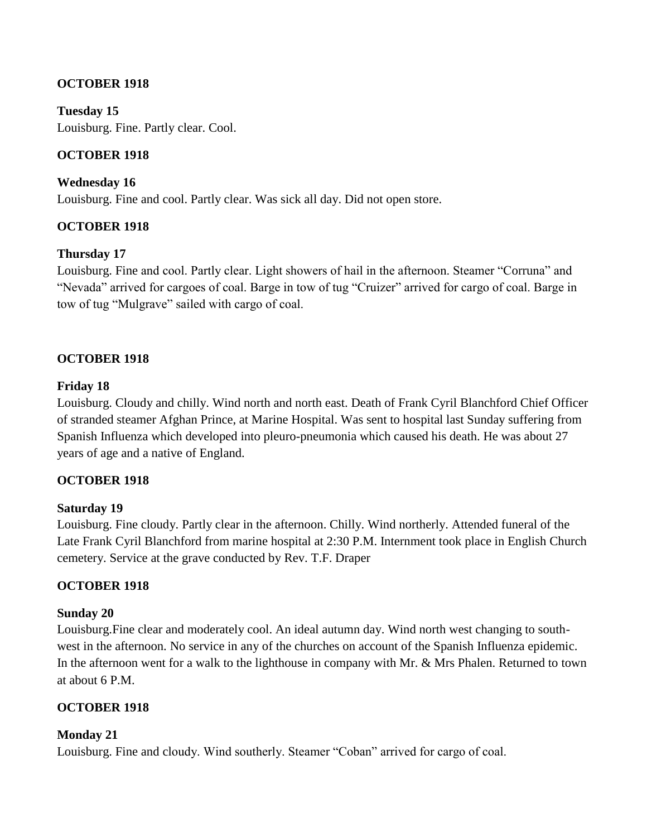# **OCTOBER 1918**

**Tuesday 15** Louisburg. Fine. Partly clear. Cool.

### **OCTOBER 1918**

**Wednesday 16** Louisburg. Fine and cool. Partly clear. Was sick all day. Did not open store.

### **OCTOBER 1918**

#### **Thursday 17**

Louisburg. Fine and cool. Partly clear. Light showers of hail in the afternoon. Steamer "Corruna" and "Nevada" arrived for cargoes of coal. Barge in tow of tug "Cruizer" arrived for cargo of coal. Barge in tow of tug "Mulgrave" sailed with cargo of coal.

### **OCTOBER 1918**

#### **Friday 18**

Louisburg. Cloudy and chilly. Wind north and north east. Death of Frank Cyril Blanchford Chief Officer of stranded steamer Afghan Prince, at Marine Hospital. Was sent to hospital last Sunday suffering from Spanish Influenza which developed into pleuro-pneumonia which caused his death. He was about 27 years of age and a native of England.

#### **OCTOBER 1918**

#### **Saturday 19**

Louisburg. Fine cloudy. Partly clear in the afternoon. Chilly. Wind northerly. Attended funeral of the Late Frank Cyril Blanchford from marine hospital at 2:30 P.M. Internment took place in English Church cemetery. Service at the grave conducted by Rev. T.F. Draper

# **OCTOBER 1918**

#### **Sunday 20**

Louisburg.Fine clear and moderately cool. An ideal autumn day. Wind north west changing to southwest in the afternoon. No service in any of the churches on account of the Spanish Influenza epidemic. In the afternoon went for a walk to the lighthouse in company with Mr. & Mrs Phalen. Returned to town at about 6 P.M.

# **OCTOBER 1918**

#### **Monday 21**

Louisburg. Fine and cloudy. Wind southerly. Steamer "Coban" arrived for cargo of coal.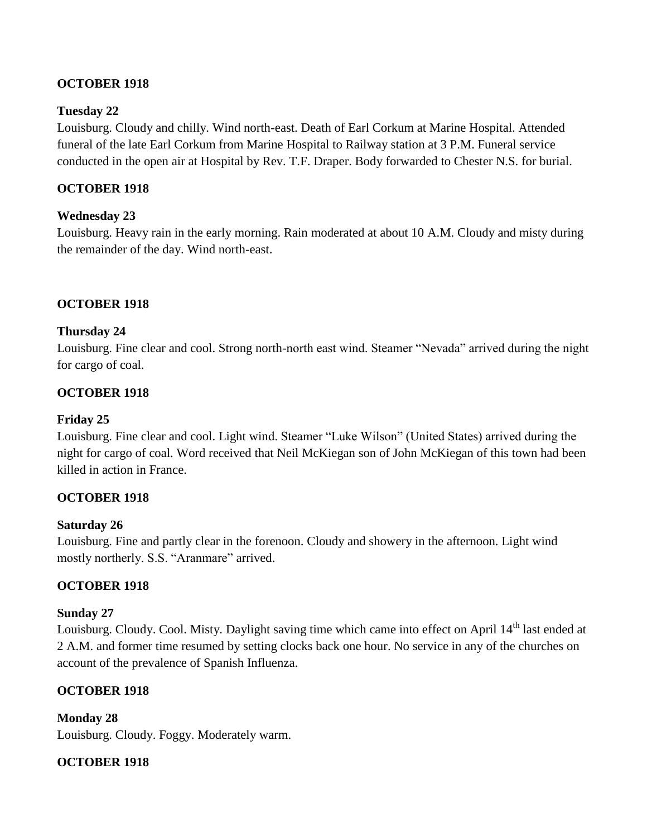# **OCTOBER 1918**

# **Tuesday 22**

Louisburg. Cloudy and chilly. Wind north-east. Death of Earl Corkum at Marine Hospital. Attended funeral of the late Earl Corkum from Marine Hospital to Railway station at 3 P.M. Funeral service conducted in the open air at Hospital by Rev. T.F. Draper. Body forwarded to Chester N.S. for burial.

# **OCTOBER 1918**

# **Wednesday 23**

Louisburg. Heavy rain in the early morning. Rain moderated at about 10 A.M. Cloudy and misty during the remainder of the day. Wind north-east.

# **OCTOBER 1918**

# **Thursday 24**

Louisburg. Fine clear and cool. Strong north-north east wind. Steamer "Nevada" arrived during the night for cargo of coal.

# **OCTOBER 1918**

# **Friday 25**

Louisburg. Fine clear and cool. Light wind. Steamer "Luke Wilson" (United States) arrived during the night for cargo of coal. Word received that Neil McKiegan son of John McKiegan of this town had been killed in action in France.

# **OCTOBER 1918**

# **Saturday 26**

Louisburg. Fine and partly clear in the forenoon. Cloudy and showery in the afternoon. Light wind mostly northerly. S.S. "Aranmare" arrived.

# **OCTOBER 1918**

# **Sunday 27**

Louisburg. Cloudy. Cool. Misty. Daylight saving time which came into effect on April 14<sup>th</sup> last ended at 2 A.M. and former time resumed by setting clocks back one hour. No service in any of the churches on account of the prevalence of Spanish Influenza.

# **OCTOBER 1918**

**Monday 28** Louisburg. Cloudy. Foggy. Moderately warm.

# **OCTOBER 1918**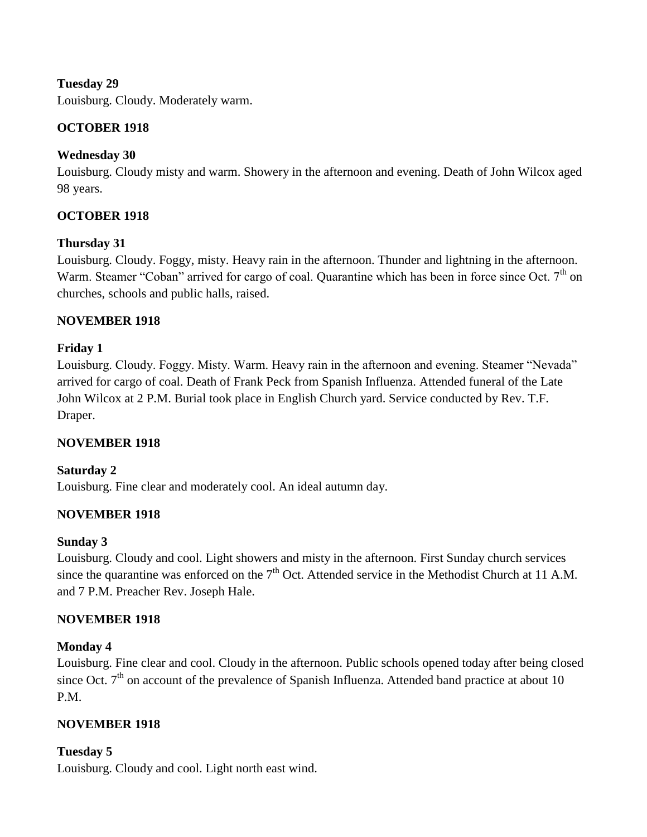Louisburg. Cloudy. Moderately warm.

# **OCTOBER 1918**

# **Wednesday 30**

Louisburg. Cloudy misty and warm. Showery in the afternoon and evening. Death of John Wilcox aged 98 years.

# **OCTOBER 1918**

# **Thursday 31**

Louisburg. Cloudy. Foggy, misty. Heavy rain in the afternoon. Thunder and lightning in the afternoon. Warm. Steamer "Coban" arrived for cargo of coal. Quarantine which has been in force since Oct. 7<sup>th</sup> on churches, schools and public halls, raised.

# **NOVEMBER 1918**

# **Friday 1**

Louisburg. Cloudy. Foggy. Misty. Warm. Heavy rain in the afternoon and evening. Steamer "Nevada" arrived for cargo of coal. Death of Frank Peck from Spanish Influenza. Attended funeral of the Late John Wilcox at 2 P.M. Burial took place in English Church yard. Service conducted by Rev. T.F. Draper.

# **NOVEMBER 1918**

# **Saturday 2**

Louisburg. Fine clear and moderately cool. An ideal autumn day.

# **NOVEMBER 1918**

# **Sunday 3**

Louisburg. Cloudy and cool. Light showers and misty in the afternoon. First Sunday church services since the quarantine was enforced on the  $7<sup>th</sup>$  Oct. Attended service in the Methodist Church at 11 A.M. and 7 P.M. Preacher Rev. Joseph Hale.

# **NOVEMBER 1918**

# **Monday 4**

Louisburg. Fine clear and cool. Cloudy in the afternoon. Public schools opened today after being closed since Oct.  $7<sup>th</sup>$  on account of the prevalence of Spanish Influenza. Attended band practice at about 10 P.M.

# **NOVEMBER 1918**

# **Tuesday 5**

Louisburg. Cloudy and cool. Light north east wind.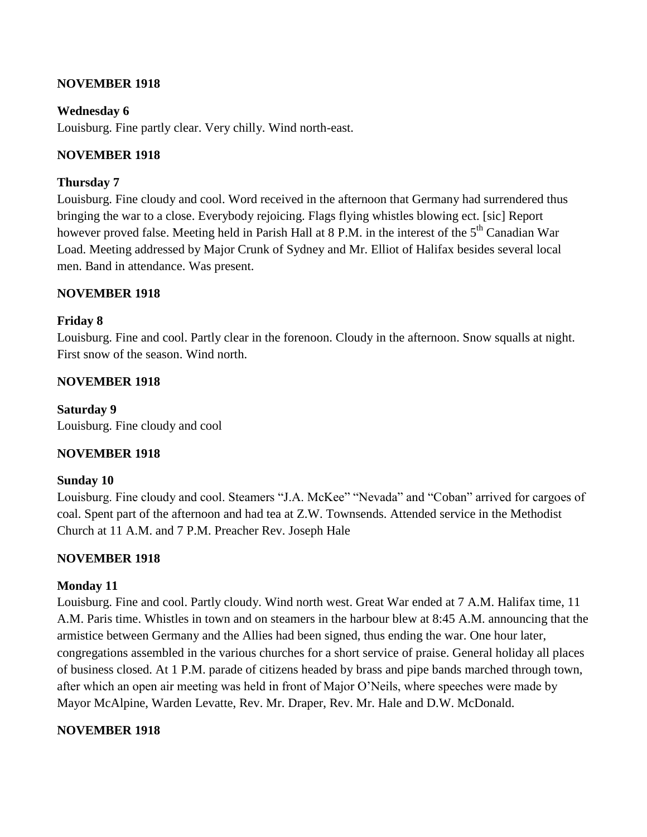#### **NOVEMBER 1918**

### **Wednesday 6**

Louisburg. Fine partly clear. Very chilly. Wind north-east.

### **NOVEMBER 1918**

#### **Thursday 7**

Louisburg. Fine cloudy and cool. Word received in the afternoon that Germany had surrendered thus bringing the war to a close. Everybody rejoicing. Flags flying whistles blowing ect. [sic] Report however proved false. Meeting held in Parish Hall at 8 P.M. in the interest of the 5<sup>th</sup> Canadian War Load. Meeting addressed by Major Crunk of Sydney and Mr. Elliot of Halifax besides several local men. Band in attendance. Was present.

### **NOVEMBER 1918**

### **Friday 8**

Louisburg. Fine and cool. Partly clear in the forenoon. Cloudy in the afternoon. Snow squalls at night. First snow of the season. Wind north.

### **NOVEMBER 1918**

**Saturday 9** Louisburg. Fine cloudy and cool

# **NOVEMBER 1918**

#### **Sunday 10**

Louisburg. Fine cloudy and cool. Steamers "J.A. McKee" "Nevada" and "Coban" arrived for cargoes of coal. Spent part of the afternoon and had tea at Z.W. Townsends. Attended service in the Methodist Church at 11 A.M. and 7 P.M. Preacher Rev. Joseph Hale

# **NOVEMBER 1918**

#### **Monday 11**

Louisburg. Fine and cool. Partly cloudy. Wind north west. Great War ended at 7 A.M. Halifax time, 11 A.M. Paris time. Whistles in town and on steamers in the harbour blew at 8:45 A.M. announcing that the armistice between Germany and the Allies had been signed, thus ending the war. One hour later, congregations assembled in the various churches for a short service of praise. General holiday all places of business closed. At 1 P.M. parade of citizens headed by brass and pipe bands marched through town, after which an open air meeting was held in front of Major O'Neils, where speeches were made by Mayor McAlpine, Warden Levatte, Rev. Mr. Draper, Rev. Mr. Hale and D.W. McDonald.

#### **NOVEMBER 1918**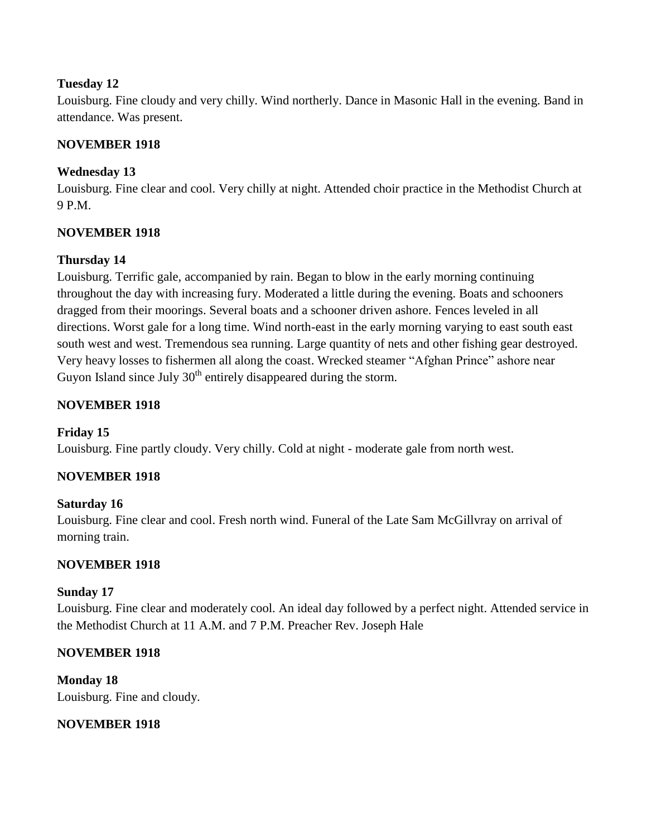Louisburg. Fine cloudy and very chilly. Wind northerly. Dance in Masonic Hall in the evening. Band in attendance. Was present.

# **NOVEMBER 1918**

# **Wednesday 13**

Louisburg. Fine clear and cool. Very chilly at night. Attended choir practice in the Methodist Church at 9 P.M.

# **NOVEMBER 1918**

# **Thursday 14**

Louisburg. Terrific gale, accompanied by rain. Began to blow in the early morning continuing throughout the day with increasing fury. Moderated a little during the evening. Boats and schooners dragged from their moorings. Several boats and a schooner driven ashore. Fences leveled in all directions. Worst gale for a long time. Wind north-east in the early morning varying to east south east south west and west. Tremendous sea running. Large quantity of nets and other fishing gear destroyed. Very heavy losses to fishermen all along the coast. Wrecked steamer "Afghan Prince" ashore near Guyon Island since July  $30<sup>th</sup>$  entirely disappeared during the storm.

# **NOVEMBER 1918**

# **Friday 15**

Louisburg. Fine partly cloudy. Very chilly. Cold at night - moderate gale from north west.

# **NOVEMBER 1918**

# **Saturday 16**

Louisburg. Fine clear and cool. Fresh north wind. Funeral of the Late Sam McGillvray on arrival of morning train.

#### **NOVEMBER 1918**

#### **Sunday 17**

Louisburg. Fine clear and moderately cool. An ideal day followed by a perfect night. Attended service in the Methodist Church at 11 A.M. and 7 P.M. Preacher Rev. Joseph Hale

#### **NOVEMBER 1918**

**Monday 18** Louisburg. Fine and cloudy.

# **NOVEMBER 1918**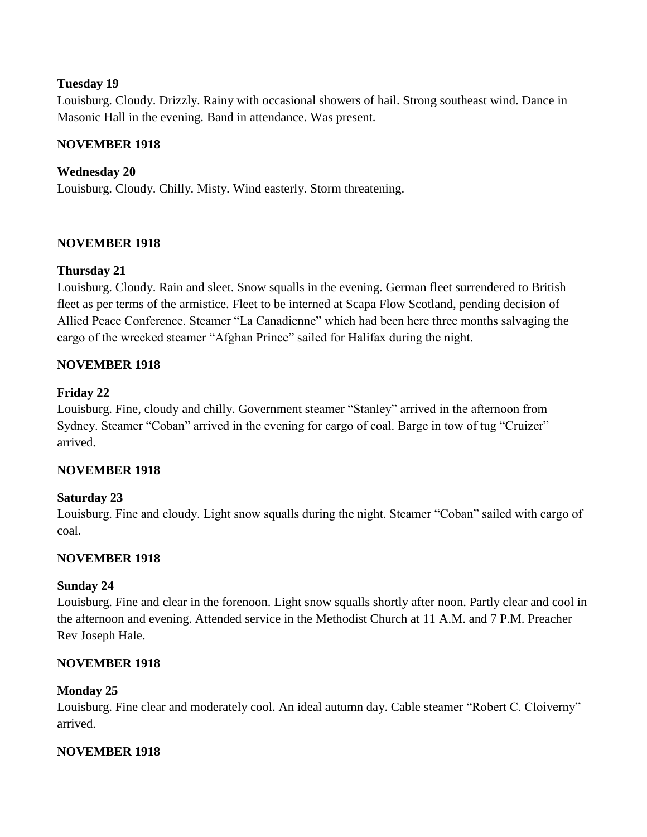Louisburg. Cloudy. Drizzly. Rainy with occasional showers of hail. Strong southeast wind. Dance in Masonic Hall in the evening. Band in attendance. Was present.

# **NOVEMBER 1918**

# **Wednesday 20**

Louisburg. Cloudy. Chilly. Misty. Wind easterly. Storm threatening.

### **NOVEMBER 1918**

### **Thursday 21**

Louisburg. Cloudy. Rain and sleet. Snow squalls in the evening. German fleet surrendered to British fleet as per terms of the armistice. Fleet to be interned at Scapa Flow Scotland, pending decision of Allied Peace Conference. Steamer "La Canadienne" which had been here three months salvaging the cargo of the wrecked steamer "Afghan Prince" sailed for Halifax during the night.

### **NOVEMBER 1918**

### **Friday 22**

Louisburg. Fine, cloudy and chilly. Government steamer "Stanley" arrived in the afternoon from Sydney. Steamer "Coban" arrived in the evening for cargo of coal. Barge in tow of tug "Cruizer" arrived.

#### **NOVEMBER 1918**

#### **Saturday 23**

Louisburg. Fine and cloudy. Light snow squalls during the night. Steamer "Coban" sailed with cargo of coal.

#### **NOVEMBER 1918**

#### **Sunday 24**

Louisburg. Fine and clear in the forenoon. Light snow squalls shortly after noon. Partly clear and cool in the afternoon and evening. Attended service in the Methodist Church at 11 A.M. and 7 P.M. Preacher Rev Joseph Hale.

#### **NOVEMBER 1918**

#### **Monday 25**

Louisburg. Fine clear and moderately cool. An ideal autumn day. Cable steamer "Robert C. Cloiverny" arrived.

#### **NOVEMBER 1918**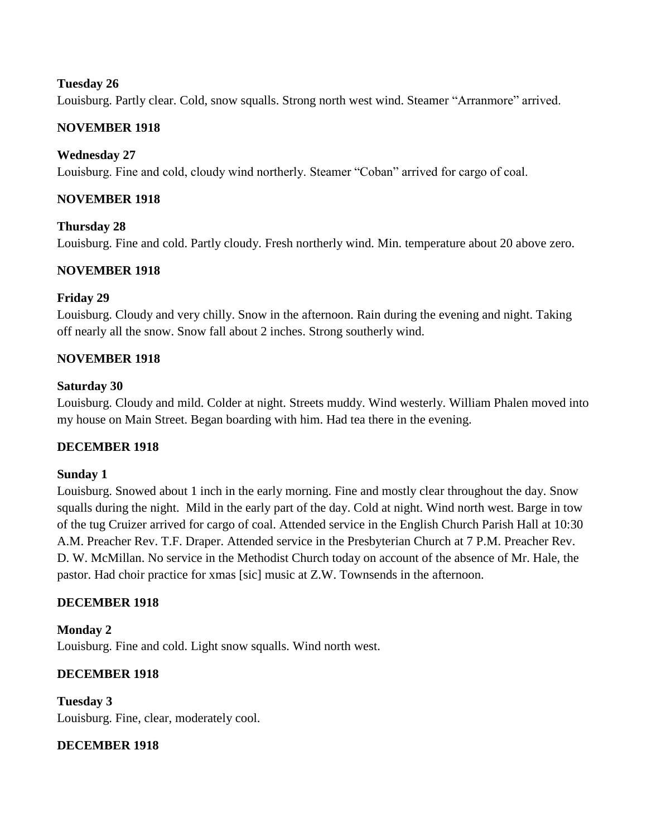Louisburg. Partly clear. Cold, snow squalls. Strong north west wind. Steamer "Arranmore" arrived.

### **NOVEMBER 1918**

### **Wednesday 27**

Louisburg. Fine and cold, cloudy wind northerly. Steamer "Coban" arrived for cargo of coal.

### **NOVEMBER 1918**

**Thursday 28** Louisburg. Fine and cold. Partly cloudy. Fresh northerly wind. Min. temperature about 20 above zero.

# **NOVEMBER 1918**

### **Friday 29**

Louisburg. Cloudy and very chilly. Snow in the afternoon. Rain during the evening and night. Taking off nearly all the snow. Snow fall about 2 inches. Strong southerly wind.

### **NOVEMBER 1918**

#### **Saturday 30**

Louisburg. Cloudy and mild. Colder at night. Streets muddy. Wind westerly. William Phalen moved into my house on Main Street. Began boarding with him. Had tea there in the evening.

# **DECEMBER 1918**

#### **Sunday 1**

Louisburg. Snowed about 1 inch in the early morning. Fine and mostly clear throughout the day. Snow squalls during the night. Mild in the early part of the day. Cold at night. Wind north west. Barge in tow of the tug Cruizer arrived for cargo of coal. Attended service in the English Church Parish Hall at 10:30 A.M. Preacher Rev. T.F. Draper. Attended service in the Presbyterian Church at 7 P.M. Preacher Rev. D. W. McMillan. No service in the Methodist Church today on account of the absence of Mr. Hale, the pastor. Had choir practice for xmas [sic] music at Z.W. Townsends in the afternoon.

#### **DECEMBER 1918**

**Monday 2** Louisburg. Fine and cold. Light snow squalls. Wind north west.

# **DECEMBER 1918**

**Tuesday 3** Louisburg. Fine, clear, moderately cool.

#### **DECEMBER 1918**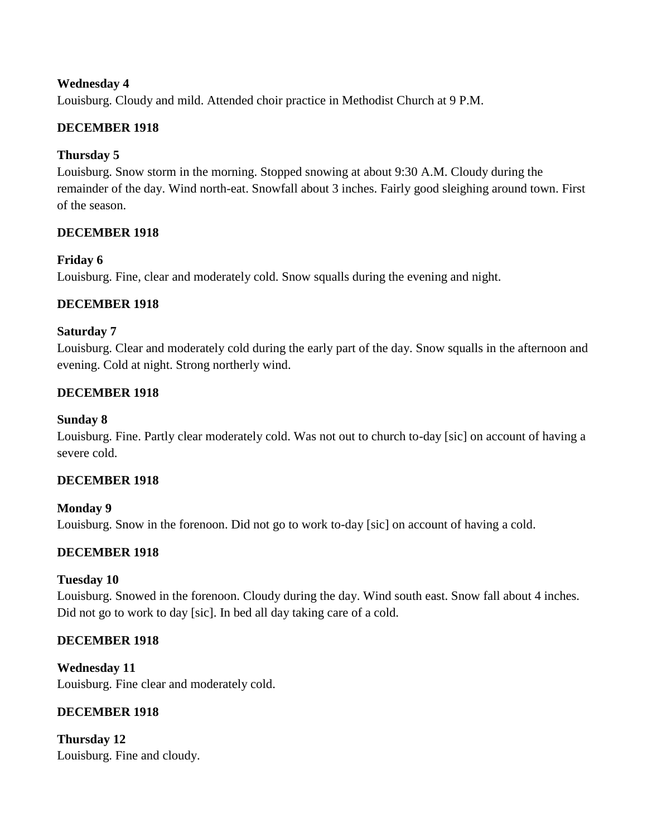# **Wednesday 4**

Louisburg. Cloudy and mild. Attended choir practice in Methodist Church at 9 P.M.

# **DECEMBER 1918**

# **Thursday 5**

Louisburg. Snow storm in the morning. Stopped snowing at about 9:30 A.M. Cloudy during the remainder of the day. Wind north-eat. Snowfall about 3 inches. Fairly good sleighing around town. First of the season.

# **DECEMBER 1918**

# **Friday 6**

Louisburg. Fine, clear and moderately cold. Snow squalls during the evening and night.

# **DECEMBER 1918**

### **Saturday 7**

Louisburg. Clear and moderately cold during the early part of the day. Snow squalls in the afternoon and evening. Cold at night. Strong northerly wind.

# **DECEMBER 1918**

#### **Sunday 8**

Louisburg. Fine. Partly clear moderately cold. Was not out to church to-day [sic] on account of having a severe cold.

#### **DECEMBER 1918**

**Monday 9** Louisburg. Snow in the forenoon. Did not go to work to-day [sic] on account of having a cold.

# **DECEMBER 1918**

# **Tuesday 10**

Louisburg. Snowed in the forenoon. Cloudy during the day. Wind south east. Snow fall about 4 inches. Did not go to work to day [sic]. In bed all day taking care of a cold.

# **DECEMBER 1918**

**Wednesday 11** Louisburg. Fine clear and moderately cold.

# **DECEMBER 1918**

**Thursday 12** Louisburg. Fine and cloudy.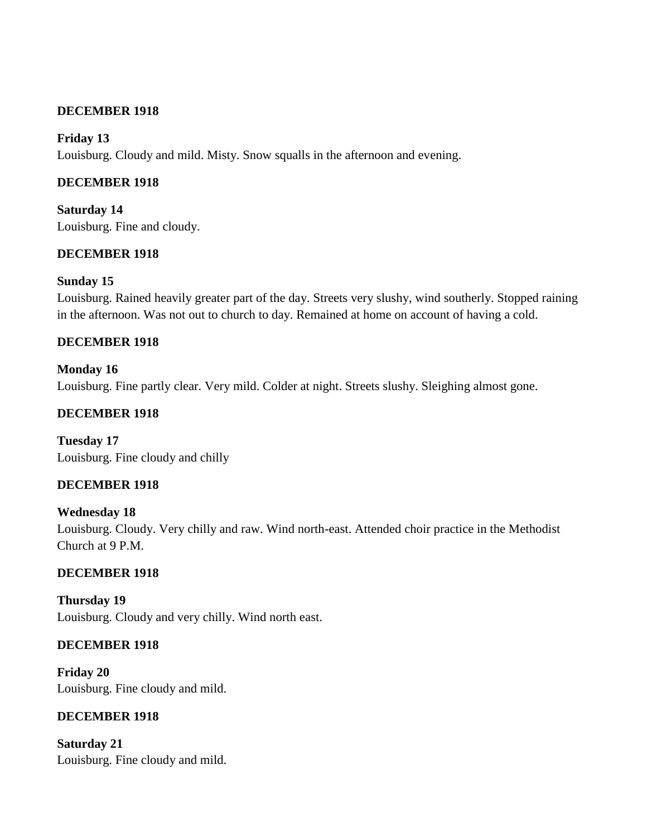# **DECEMBER 1918**

### **Friday 13**

Louisburg. Cloudy and mild. Misty. Snow squalls in the afternoon and evening.

# **DECEMBER 1918**

**Saturday 14** Louisburg. Fine and cloudy.

### **DECEMBER 1918**

### **Sunday 15**

Louisburg. Rained heavily greater part of the day. Streets very slushy, wind southerly. Stopped raining in the afternoon. Was not out to church to day. Remained at home on account of having a cold.

### **DECEMBER 1918**

**Monday 16** Louisburg. Fine partly clear. Very mild. Colder at night. Streets slushy. Sleighing almost gone.

# **DECEMBER 1918**

**Tuesday 17** Louisburg. Fine cloudy and chilly

# **DECEMBER 1918**

**Wednesday 18** Louisburg. Cloudy. Very chilly and raw. Wind north-east. Attended choir practice in the Methodist Church at 9 P.M.

# **DECEMBER 1918**

**Thursday 19** Louisburg. Cloudy and very chilly. Wind north east.

#### **DECEMBER 1918**

**Friday 20** Louisburg. Fine cloudy and mild.

#### **DECEMBER 1918**

**Saturday 21** Louisburg. Fine cloudy and mild.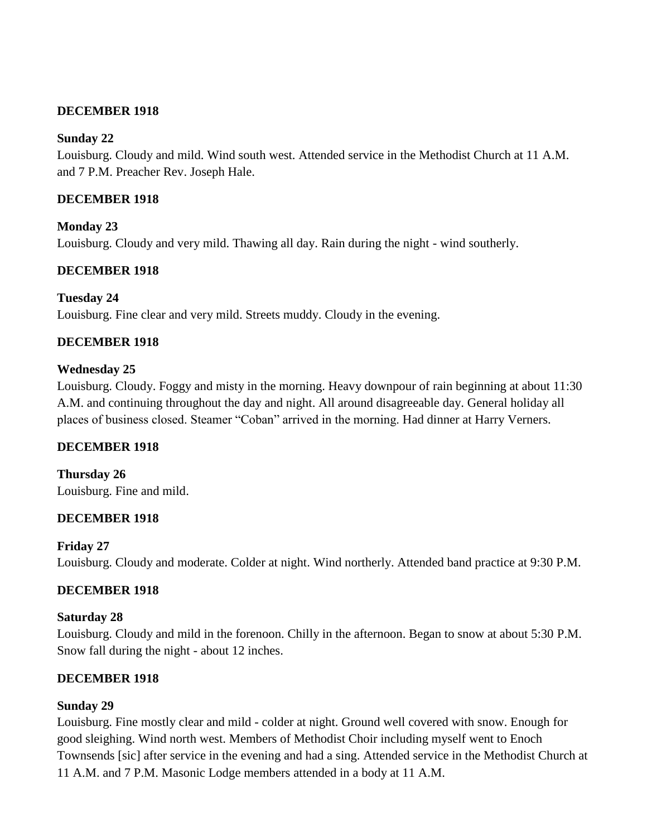# **DECEMBER 1918**

# **Sunday 22**

Louisburg. Cloudy and mild. Wind south west. Attended service in the Methodist Church at 11 A.M. and 7 P.M. Preacher Rev. Joseph Hale.

# **DECEMBER 1918**

**Monday 23** Louisburg. Cloudy and very mild. Thawing all day. Rain during the night - wind southerly.

# **DECEMBER 1918**

**Tuesday 24** Louisburg. Fine clear and very mild. Streets muddy. Cloudy in the evening.

# **DECEMBER 1918**

### **Wednesday 25**

Louisburg. Cloudy. Foggy and misty in the morning. Heavy downpour of rain beginning at about 11:30 A.M. and continuing throughout the day and night. All around disagreeable day. General holiday all places of business closed. Steamer "Coban" arrived in the morning. Had dinner at Harry Verners.

# **DECEMBER 1918**

**Thursday 26** Louisburg. Fine and mild.

# **DECEMBER 1918**

#### **Friday 27**

Louisburg. Cloudy and moderate. Colder at night. Wind northerly. Attended band practice at 9:30 P.M.

# **DECEMBER 1918**

#### **Saturday 28**

Louisburg. Cloudy and mild in the forenoon. Chilly in the afternoon. Began to snow at about 5:30 P.M. Snow fall during the night - about 12 inches.

# **DECEMBER 1918**

#### **Sunday 29**

Louisburg. Fine mostly clear and mild - colder at night. Ground well covered with snow. Enough for good sleighing. Wind north west. Members of Methodist Choir including myself went to Enoch Townsends [sic] after service in the evening and had a sing. Attended service in the Methodist Church at 11 A.M. and 7 P.M. Masonic Lodge members attended in a body at 11 A.M.